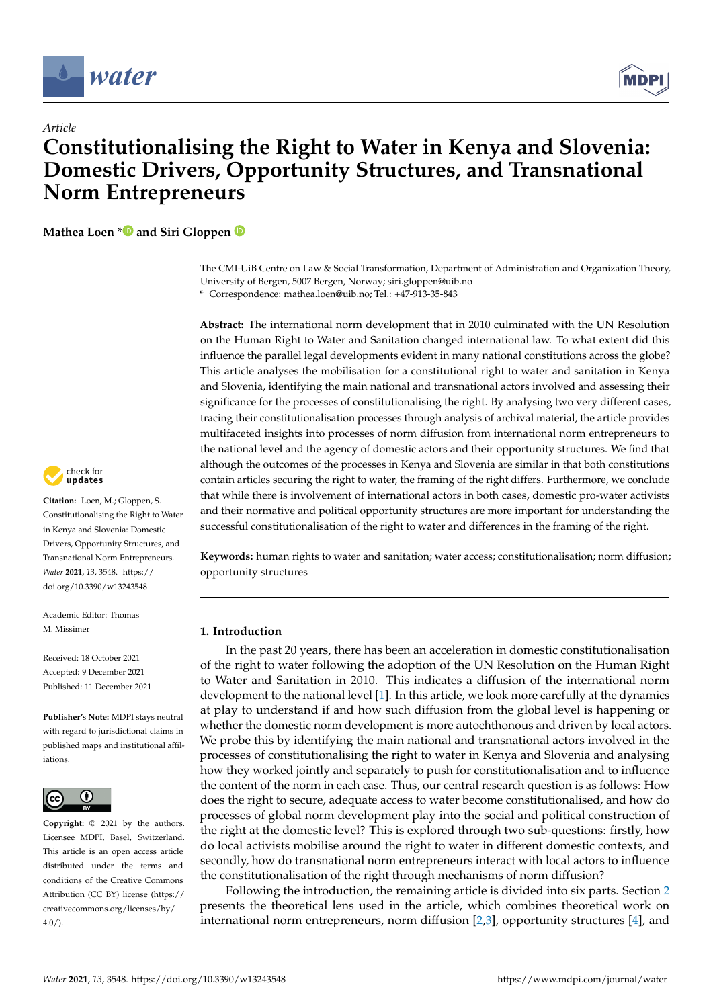

*Article*



# **Constitutionalising the Right to Water in Kenya and Slovenia: Domestic Drivers, Opportunity Structures, and Transnational Norm Entrepreneurs**

**Mathea Loen [\\*](https://orcid.org/0000-0001-6392-2107) and Siri Gloppen**

The CMI-UiB Centre on Law & Social Transformation, Department of Administration and Organization Theory, University of Bergen, 5007 Bergen, Norway; siri.gloppen@uib.no **\*** Correspondence: mathea.loen@uib.no; Tel.: +47-913-35-843

**Abstract:** The international norm development that in 2010 culminated with the UN Resolution on the Human Right to Water and Sanitation changed international law. To what extent did this influence the parallel legal developments evident in many national constitutions across the globe? This article analyses the mobilisation for a constitutional right to water and sanitation in Kenya and Slovenia, identifying the main national and transnational actors involved and assessing their significance for the processes of constitutionalising the right. By analysing two very different cases, tracing their constitutionalisation processes through analysis of archival material, the article provides multifaceted insights into processes of norm diffusion from international norm entrepreneurs to the national level and the agency of domestic actors and their opportunity structures. We find that although the outcomes of the processes in Kenya and Slovenia are similar in that both constitutions contain articles securing the right to water, the framing of the right differs. Furthermore, we conclude that while there is involvement of international actors in both cases, domestic pro-water activists and their normative and political opportunity structures are more important for understanding the successful constitutionalisation of the right to water and differences in the framing of the right.

**Keywords:** human rights to water and sanitation; water access; constitutionalisation; norm diffusion; opportunity structures

# **1. Introduction**

In the past 20 years, there has been an acceleration in domestic constitutionalisation of the right to water following the adoption of the UN Resolution on the Human Right to Water and Sanitation in 2010. This indicates a diffusion of the international norm development to the national level [\[1\]](#page-18-0). In this article, we look more carefully at the dynamics at play to understand if and how such diffusion from the global level is happening or whether the domestic norm development is more autochthonous and driven by local actors. We probe this by identifying the main national and transnational actors involved in the processes of constitutionalising the right to water in Kenya and Slovenia and analysing how they worked jointly and separately to push for constitutionalisation and to influence the content of the norm in each case. Thus, our central research question is as follows: How does the right to secure, adequate access to water become constitutionalised, and how do processes of global norm development play into the social and political construction of the right at the domestic level? This is explored through two sub-questions: firstly, how do local activists mobilise around the right to water in different domestic contexts, and secondly, how do transnational norm entrepreneurs interact with local actors to influence the constitutionalisation of the right through mechanisms of norm diffusion?

Following the introduction, the remaining article is divided into six parts. Section [2](#page-2-0) presents the theoretical lens used in the article, which combines theoretical work on international norm entrepreneurs, norm diffusion [\[2,](#page-18-1)[3\]](#page-18-2), opportunity structures [\[4\]](#page-18-3), and



**Citation:** Loen, M.; Gloppen, S. Constitutionalising the Right to Water in Kenya and Slovenia: Domestic Drivers, Opportunity Structures, and Transnational Norm Entrepreneurs. *Water* **2021**, *13*, 3548. [https://](https://doi.org/10.3390/w13243548) [doi.org/10.3390/w13243548](https://doi.org/10.3390/w13243548)

Academic Editor: Thomas M. Missimor

Received: 18 October 2021 Accepted: 9 December 2021 Published: 11 December 2021

**Publisher's Note:** MDPI stays neutral with regard to jurisdictional claims in published maps and institutional affiliations.



**Copyright:** © 2021 by the authors. Licensee MDPI, Basel, Switzerland. This article is an open access article distributed under the terms and conditions of the Creative Commons Attribution (CC BY) license (https:/[/](https://creativecommons.org/licenses/by/4.0/) [creativecommons.org/licenses/by/](https://creativecommons.org/licenses/by/4.0/)  $4.0/$ ).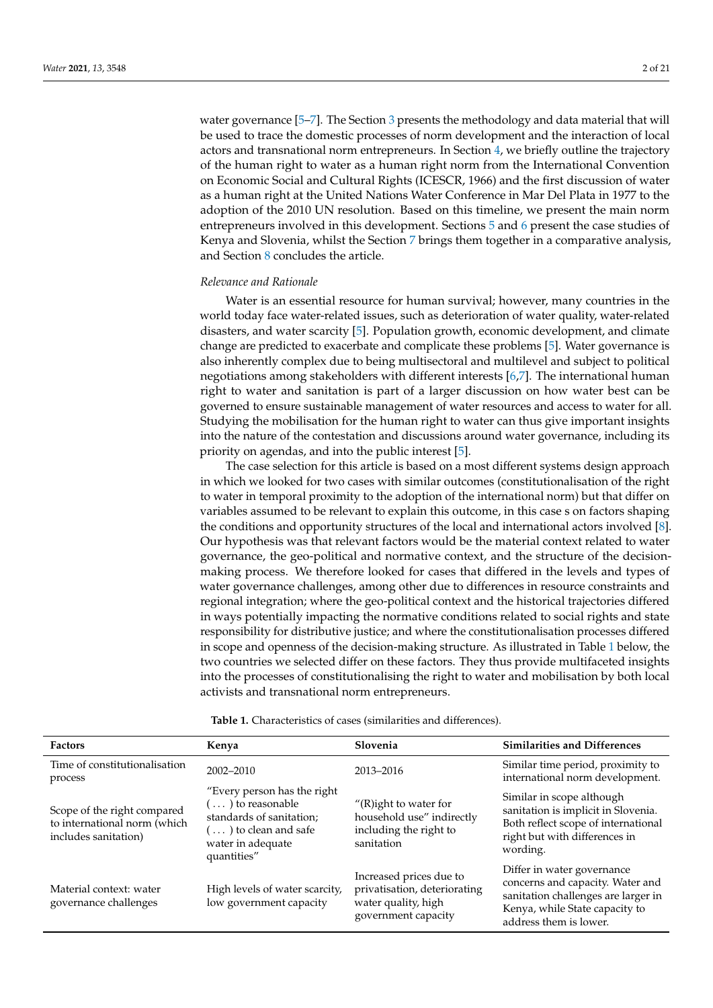water governance [\[5](#page-18-4)[–7\]](#page-18-5). The Section [3](#page-4-0) presents the methodology and data material that will be used to trace the domestic processes of norm development and the interaction of local actors and transnational norm entrepreneurs. In Section [4,](#page-5-0) we briefly outline the trajectory of the human right to water as a human right norm from the International Convention on Economic Social and Cultural Rights (ICESCR, 1966) and the first discussion of water as a human right at the United Nations Water Conference in Mar Del Plata in 1977 to the adoption of the 2010 UN resolution. Based on this timeline, we present the main norm entrepreneurs involved in this development. Sections [5](#page-7-0) and [6](#page-11-0) present the case studies of Kenya and Slovenia, whilst the Section [7](#page-14-0) brings them together in a comparative analysis, and Section [8](#page-16-0) concludes the article.

# *Relevance and Rationale*

Water is an essential resource for human survival; however, many countries in the world today face water-related issues, such as deterioration of water quality, water-related disasters, and water scarcity [\[5\]](#page-18-4). Population growth, economic development, and climate change are predicted to exacerbate and complicate these problems [\[5\]](#page-18-4). Water governance is also inherently complex due to being multisectoral and multilevel and subject to political negotiations among stakeholders with different interests [\[6](#page-18-6)[,7\]](#page-18-5). The international human right to water and sanitation is part of a larger discussion on how water best can be governed to ensure sustainable management of water resources and access to water for all. Studying the mobilisation for the human right to water can thus give important insights into the nature of the contestation and discussions around water governance, including its priority on agendas, and into the public interest [\[5\]](#page-18-4).

The case selection for this article is based on a most different systems design approach in which we looked for two cases with similar outcomes (constitutionalisation of the right to water in temporal proximity to the adoption of the international norm) but that differ on variables assumed to be relevant to explain this outcome, in this case s on factors shaping the conditions and opportunity structures of the local and international actors involved [\[8\]](#page-18-7). Our hypothesis was that relevant factors would be the material context related to water governance, the geo-political and normative context, and the structure of the decisionmaking process. We therefore looked for cases that differed in the levels and types of water governance challenges, among other due to differences in resource constraints and regional integration; where the geo-political context and the historical trajectories differed in ways potentially impacting the normative conditions related to social rights and state responsibility for distributive justice; and where the constitutionalisation processes differed in scope and openness of the decision-making structure. As illustrated in Table [1](#page-1-0) below, the two countries we selected differ on these factors. They thus provide multifaceted insights into the processes of constitutionalising the right to water and mobilisation by both local activists and transnational norm entrepreneurs.

<span id="page-1-0"></span>

| <b>Factors</b>                                                                      | Kenya                                                                                                                                                   | Slovenia                                                                                              | <b>Similarities and Differences</b>                                                                                                                               |
|-------------------------------------------------------------------------------------|---------------------------------------------------------------------------------------------------------------------------------------------------------|-------------------------------------------------------------------------------------------------------|-------------------------------------------------------------------------------------------------------------------------------------------------------------------|
| Time of constitutionalisation<br>process                                            | 2002-2010                                                                                                                                               | 2013-2016                                                                                             | Similar time period, proximity to<br>international norm development.                                                                                              |
| Scope of the right compared<br>to international norm (which<br>includes sanitation) | "Every person has the right<br>$\ldots$ ) to reasonable<br>standards of sanitation;<br>$(\ldots)$ to clean and safe<br>water in adequate<br>quantities" | $''(R)$ ight to water for<br>household use" indirectly<br>including the right to<br>sanitation        | Similar in scope although<br>sanitation is implicit in Slovenia.<br>Both reflect scope of international<br>right but with differences in<br>wording.              |
| Material context: water<br>governance challenges                                    | High levels of water scarcity,<br>low government capacity                                                                                               | Increased prices due to<br>privatisation, deteriorating<br>water quality, high<br>government capacity | Differ in water governance<br>concerns and capacity. Water and<br>sanitation challenges are larger in<br>Kenya, while State capacity to<br>address them is lower. |

**Table 1.** Characteristics of cases (similarities and differences).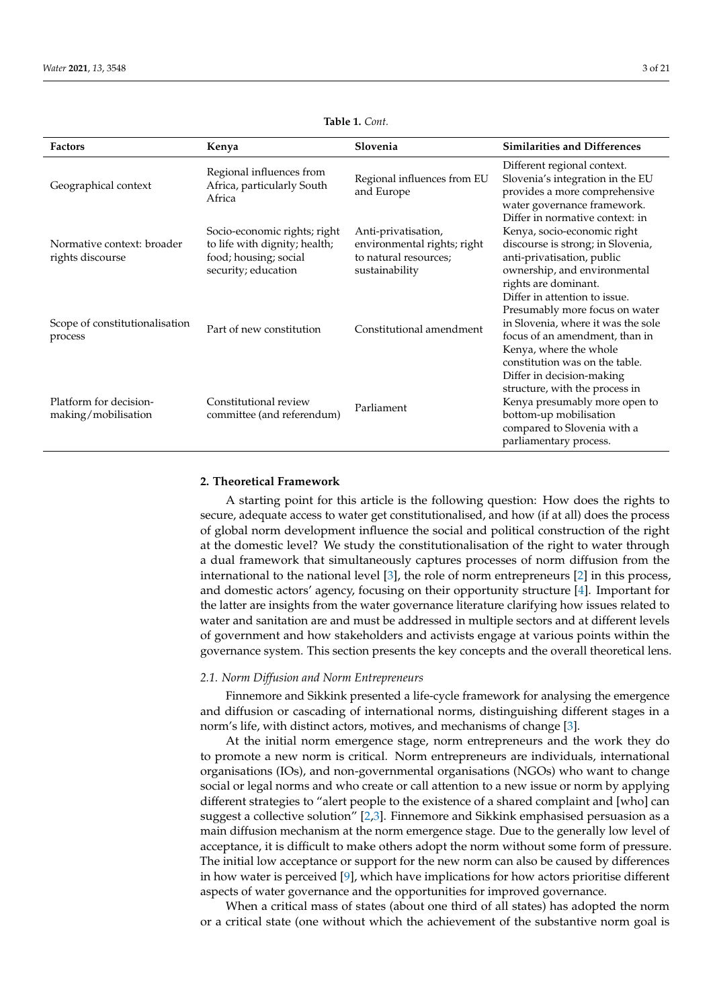| <b>Factors</b>                                 | Kenya                                                                                                         | Slovenia                                                                                      | <b>Similarities and Differences</b>                                                                                                                                                                 |
|------------------------------------------------|---------------------------------------------------------------------------------------------------------------|-----------------------------------------------------------------------------------------------|-----------------------------------------------------------------------------------------------------------------------------------------------------------------------------------------------------|
| Geographical context                           | Regional influences from<br>Africa, particularly South<br>Africa                                              | Regional influences from EU<br>and Europe                                                     | Different regional context.<br>Slovenia's integration in the EU<br>provides a more comprehensive<br>water governance framework.<br>Differ in normative context: in                                  |
| Normative context: broader<br>rights discourse | Socio-economic rights; right<br>to life with dignity; health;<br>food; housing; social<br>security; education | Anti-privatisation,<br>environmental rights; right<br>to natural resources;<br>sustainability | Kenya, socio-economic right<br>discourse is strong; in Slovenia,<br>anti-privatisation, public<br>ownership, and environmental<br>rights are dominant.                                              |
| Scope of constitutionalisation<br>process      | Part of new constitution                                                                                      | Constitutional amendment                                                                      | Differ in attention to issue.<br>Presumably more focus on water<br>in Slovenia, where it was the sole<br>focus of an amendment, than in<br>Kenya, where the whole<br>constitution was on the table. |
| Platform for decision-<br>making/mobilisation  | Constitutional review<br>committee (and referendum)                                                           | Parliament                                                                                    | Differ in decision-making<br>structure, with the process in<br>Kenya presumably more open to<br>bottom-up mobilisation<br>compared to Slovenia with a<br>parliamentary process.                     |

**Table 1.** *Cont.*

# <span id="page-2-0"></span>**2. Theoretical Framework**

A starting point for this article is the following question: How does the rights to secure, adequate access to water get constitutionalised, and how (if at all) does the process of global norm development influence the social and political construction of the right at the domestic level? We study the constitutionalisation of the right to water through a dual framework that simultaneously captures processes of norm diffusion from the international to the national level [\[3\]](#page-18-2), the role of norm entrepreneurs [\[2\]](#page-18-1) in this process, and domestic actors' agency, focusing on their opportunity structure [\[4\]](#page-18-3). Important for the latter are insights from the water governance literature clarifying how issues related to water and sanitation are and must be addressed in multiple sectors and at different levels of government and how stakeholders and activists engage at various points within the governance system. This section presents the key concepts and the overall theoretical lens.

#### *2.1. Norm Diffusion and Norm Entrepreneurs*

Finnemore and Sikkink presented a life-cycle framework for analysing the emergence and diffusion or cascading of international norms, distinguishing different stages in a norm's life, with distinct actors, motives, and mechanisms of change [\[3\]](#page-18-2).

At the initial norm emergence stage, norm entrepreneurs and the work they do to promote a new norm is critical. Norm entrepreneurs are individuals, international organisations (IOs), and non-governmental organisations (NGOs) who want to change social or legal norms and who create or call attention to a new issue or norm by applying different strategies to "alert people to the existence of a shared complaint and [who] can suggest a collective solution" [\[2](#page-18-1)[,3\]](#page-18-2). Finnemore and Sikkink emphasised persuasion as a main diffusion mechanism at the norm emergence stage. Due to the generally low level of acceptance, it is difficult to make others adopt the norm without some form of pressure. The initial low acceptance or support for the new norm can also be caused by differences in how water is perceived  $[9]$ , which have implications for how actors prioritise different aspects of water governance and the opportunities for improved governance.

When a critical mass of states (about one third of all states) has adopted the norm or a critical state (one without which the achievement of the substantive norm goal is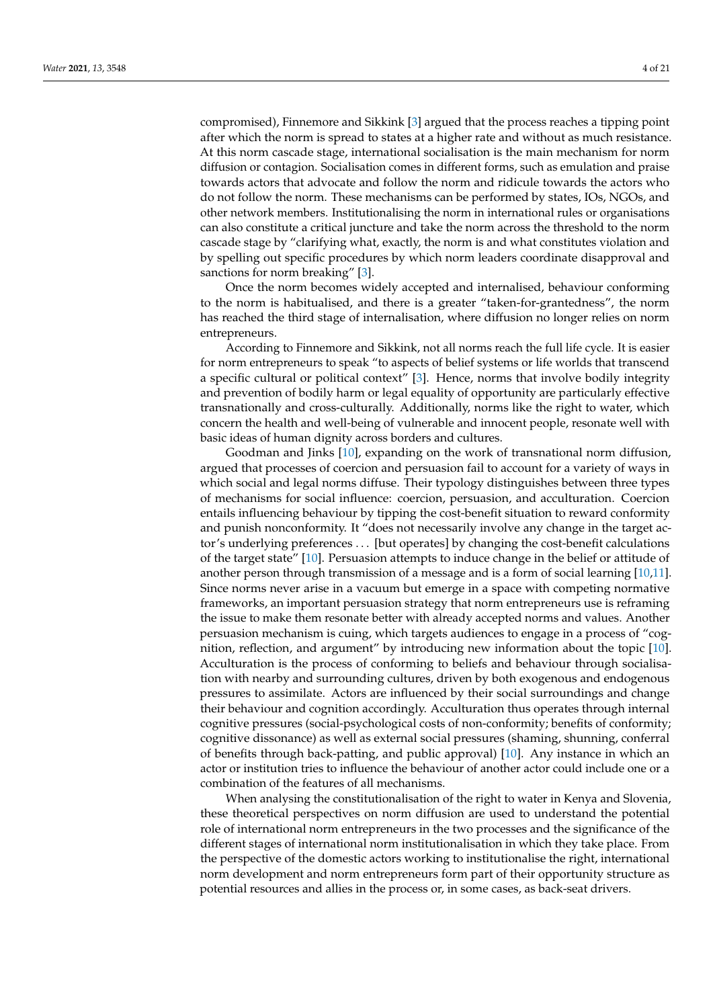compromised), Finnemore and Sikkink [\[3\]](#page-18-2) argued that the process reaches a tipping point after which the norm is spread to states at a higher rate and without as much resistance. At this norm cascade stage, international socialisation is the main mechanism for norm diffusion or contagion. Socialisation comes in different forms, such as emulation and praise towards actors that advocate and follow the norm and ridicule towards the actors who do not follow the norm. These mechanisms can be performed by states, IOs, NGOs, and other network members. Institutionalising the norm in international rules or organisations can also constitute a critical juncture and take the norm across the threshold to the norm cascade stage by "clarifying what, exactly, the norm is and what constitutes violation and by spelling out specific procedures by which norm leaders coordinate disapproval and sanctions for norm breaking" [\[3\]](#page-18-2).

Once the norm becomes widely accepted and internalised, behaviour conforming to the norm is habitualised, and there is a greater "taken-for-grantedness", the norm has reached the third stage of internalisation, where diffusion no longer relies on norm entrepreneurs.

According to Finnemore and Sikkink, not all norms reach the full life cycle. It is easier for norm entrepreneurs to speak "to aspects of belief systems or life worlds that transcend a specific cultural or political context" [\[3\]](#page-18-2). Hence, norms that involve bodily integrity and prevention of bodily harm or legal equality of opportunity are particularly effective transnationally and cross-culturally. Additionally, norms like the right to water, which concern the health and well-being of vulnerable and innocent people, resonate well with basic ideas of human dignity across borders and cultures.

Goodman and Jinks [\[10\]](#page-18-9), expanding on the work of transnational norm diffusion, argued that processes of coercion and persuasion fail to account for a variety of ways in which social and legal norms diffuse. Their typology distinguishes between three types of mechanisms for social influence: coercion, persuasion, and acculturation. Coercion entails influencing behaviour by tipping the cost-benefit situation to reward conformity and punish nonconformity. It "does not necessarily involve any change in the target actor's underlying preferences . . . [but operates] by changing the cost-benefit calculations of the target state" [\[10\]](#page-18-9). Persuasion attempts to induce change in the belief or attitude of another person through transmission of a message and is a form of social learning [\[10](#page-18-9)[,11\]](#page-18-10). Since norms never arise in a vacuum but emerge in a space with competing normative frameworks, an important persuasion strategy that norm entrepreneurs use is reframing the issue to make them resonate better with already accepted norms and values. Another persuasion mechanism is cuing, which targets audiences to engage in a process of "cognition, reflection, and argument" by introducing new information about the topic [\[10\]](#page-18-9). Acculturation is the process of conforming to beliefs and behaviour through socialisation with nearby and surrounding cultures, driven by both exogenous and endogenous pressures to assimilate. Actors are influenced by their social surroundings and change their behaviour and cognition accordingly. Acculturation thus operates through internal cognitive pressures (social-psychological costs of non-conformity; benefits of conformity; cognitive dissonance) as well as external social pressures (shaming, shunning, conferral of benefits through back-patting, and public approval) [\[10\]](#page-18-9). Any instance in which an actor or institution tries to influence the behaviour of another actor could include one or a combination of the features of all mechanisms.

When analysing the constitutionalisation of the right to water in Kenya and Slovenia, these theoretical perspectives on norm diffusion are used to understand the potential role of international norm entrepreneurs in the two processes and the significance of the different stages of international norm institutionalisation in which they take place. From the perspective of the domestic actors working to institutionalise the right, international norm development and norm entrepreneurs form part of their opportunity structure as potential resources and allies in the process or, in some cases, as back-seat drivers.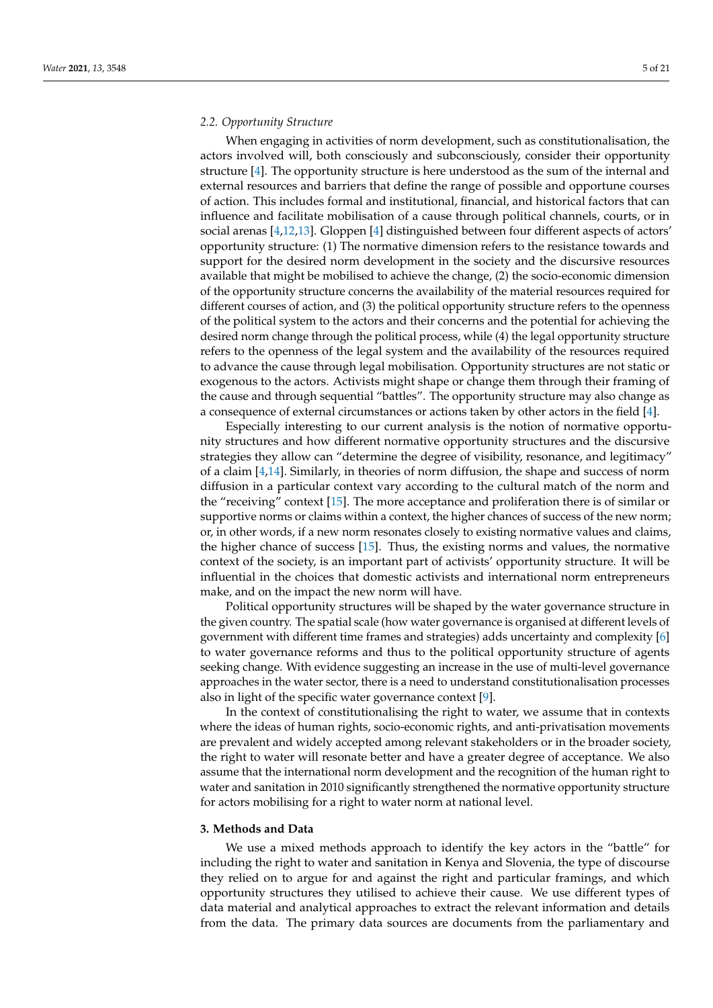#### *2.2. Opportunity Structure*

When engaging in activities of norm development, such as constitutionalisation, the actors involved will, both consciously and subconsciously, consider their opportunity structure [\[4\]](#page-18-3). The opportunity structure is here understood as the sum of the internal and external resources and barriers that define the range of possible and opportune courses of action. This includes formal and institutional, financial, and historical factors that can influence and facilitate mobilisation of a cause through political channels, courts, or in social arenas [\[4](#page-18-3)[,12](#page-18-11)[,13\]](#page-18-12). Gloppen [\[4\]](#page-18-3) distinguished between four different aspects of actors' opportunity structure: (1) The normative dimension refers to the resistance towards and support for the desired norm development in the society and the discursive resources available that might be mobilised to achieve the change, (2) the socio-economic dimension of the opportunity structure concerns the availability of the material resources required for different courses of action, and (3) the political opportunity structure refers to the openness of the political system to the actors and their concerns and the potential for achieving the desired norm change through the political process, while (4) the legal opportunity structure refers to the openness of the legal system and the availability of the resources required to advance the cause through legal mobilisation. Opportunity structures are not static or exogenous to the actors. Activists might shape or change them through their framing of the cause and through sequential "battles". The opportunity structure may also change as a consequence of external circumstances or actions taken by other actors in the field [\[4\]](#page-18-3).

Especially interesting to our current analysis is the notion of normative opportunity structures and how different normative opportunity structures and the discursive strategies they allow can "determine the degree of visibility, resonance, and legitimacy" of a claim [\[4](#page-18-3)[,14\]](#page-18-13). Similarly, in theories of norm diffusion, the shape and success of norm diffusion in a particular context vary according to the cultural match of the norm and the "receiving" context [\[15\]](#page-18-14). The more acceptance and proliferation there is of similar or supportive norms or claims within a context, the higher chances of success of the new norm; or, in other words, if a new norm resonates closely to existing normative values and claims, the higher chance of success [\[15\]](#page-18-14). Thus, the existing norms and values, the normative context of the society, is an important part of activists' opportunity structure. It will be influential in the choices that domestic activists and international norm entrepreneurs make, and on the impact the new norm will have.

Political opportunity structures will be shaped by the water governance structure in the given country. The spatial scale (how water governance is organised at different levels of government with different time frames and strategies) adds uncertainty and complexity [\[6\]](#page-18-6) to water governance reforms and thus to the political opportunity structure of agents seeking change. With evidence suggesting an increase in the use of multi-level governance approaches in the water sector, there is a need to understand constitutionalisation processes also in light of the specific water governance context [\[9\]](#page-18-8).

In the context of constitutionalising the right to water, we assume that in contexts where the ideas of human rights, socio-economic rights, and anti-privatisation movements are prevalent and widely accepted among relevant stakeholders or in the broader society, the right to water will resonate better and have a greater degree of acceptance. We also assume that the international norm development and the recognition of the human right to water and sanitation in 2010 significantly strengthened the normative opportunity structure for actors mobilising for a right to water norm at national level.

# <span id="page-4-0"></span>**3. Methods and Data**

We use a mixed methods approach to identify the key actors in the "battle" for including the right to water and sanitation in Kenya and Slovenia, the type of discourse they relied on to argue for and against the right and particular framings, and which opportunity structures they utilised to achieve their cause. We use different types of data material and analytical approaches to extract the relevant information and details from the data. The primary data sources are documents from the parliamentary and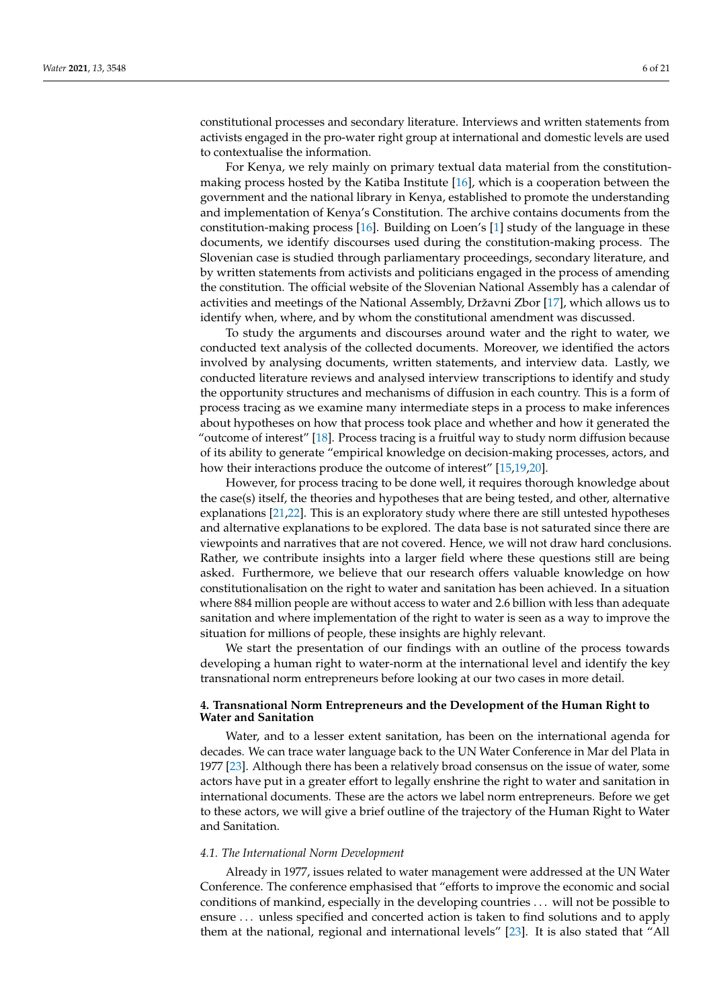constitutional processes and secondary literature. Interviews and written statements from activists engaged in the pro-water right group at international and domestic levels are used to contextualise the information.

For Kenya, we rely mainly on primary textual data material from the constitutionmaking process hosted by the Katiba Institute [\[16\]](#page-18-15), which is a cooperation between the government and the national library in Kenya, established to promote the understanding and implementation of Kenya's Constitution. The archive contains documents from the constitution-making process [\[16\]](#page-18-15). Building on Loen's [\[1\]](#page-18-0) study of the language in these documents, we identify discourses used during the constitution-making process. The Slovenian case is studied through parliamentary proceedings, secondary literature, and by written statements from activists and politicians engaged in the process of amending the constitution. The official website of the Slovenian National Assembly has a calendar of activities and meetings of the National Assembly, Državni Zbor [\[17\]](#page-18-16), which allows us to identify when, where, and by whom the constitutional amendment was discussed.

To study the arguments and discourses around water and the right to water, we conducted text analysis of the collected documents. Moreover, we identified the actors involved by analysing documents, written statements, and interview data. Lastly, we conducted literature reviews and analysed interview transcriptions to identify and study the opportunity structures and mechanisms of diffusion in each country. This is a form of process tracing as we examine many intermediate steps in a process to make inferences about hypotheses on how that process took place and whether and how it generated the "outcome of interest" [\[18\]](#page-18-17). Process tracing is a fruitful way to study norm diffusion because of its ability to generate "empirical knowledge on decision-making processes, actors, and how their interactions produce the outcome of interest" [\[15,](#page-18-14)[19,](#page-19-0)[20\]](#page-19-1).

However, for process tracing to be done well, it requires thorough knowledge about the case(s) itself, the theories and hypotheses that are being tested, and other, alternative explanations [\[21](#page-19-2)[,22\]](#page-19-3). This is an exploratory study where there are still untested hypotheses and alternative explanations to be explored. The data base is not saturated since there are viewpoints and narratives that are not covered. Hence, we will not draw hard conclusions. Rather, we contribute insights into a larger field where these questions still are being asked. Furthermore, we believe that our research offers valuable knowledge on how constitutionalisation on the right to water and sanitation has been achieved. In a situation where 884 million people are without access to water and 2.6 billion with less than adequate sanitation and where implementation of the right to water is seen as a way to improve the situation for millions of people, these insights are highly relevant.

We start the presentation of our findings with an outline of the process towards developing a human right to water-norm at the international level and identify the key transnational norm entrepreneurs before looking at our two cases in more detail.

# <span id="page-5-0"></span>**4. Transnational Norm Entrepreneurs and the Development of the Human Right to Water and Sanitation**

Water, and to a lesser extent sanitation, has been on the international agenda for decades. We can trace water language back to the UN Water Conference in Mar del Plata in 1977 [\[23\]](#page-19-4). Although there has been a relatively broad consensus on the issue of water, some actors have put in a greater effort to legally enshrine the right to water and sanitation in international documents. These are the actors we label norm entrepreneurs. Before we get to these actors, we will give a brief outline of the trajectory of the Human Right to Water and Sanitation.

#### *4.1. The International Norm Development*

Already in 1977, issues related to water management were addressed at the UN Water Conference. The conference emphasised that "efforts to improve the economic and social conditions of mankind, especially in the developing countries . . . will not be possible to ensure . . . unless specified and concerted action is taken to find solutions and to apply them at the national, regional and international levels" [\[23\]](#page-19-4). It is also stated that "All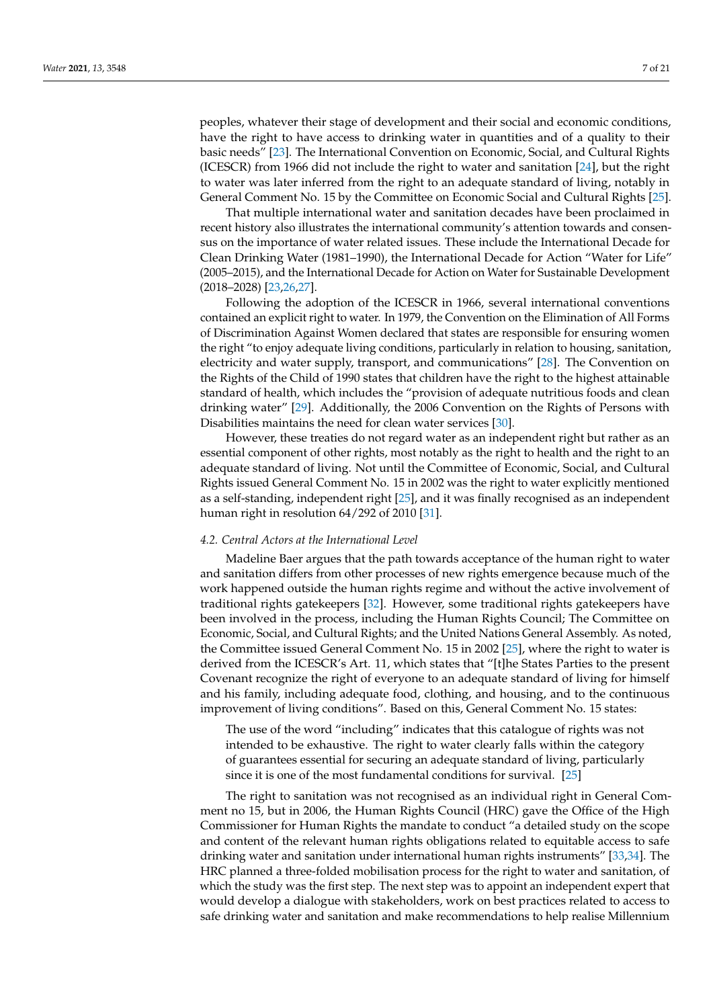peoples, whatever their stage of development and their social and economic conditions, have the right to have access to drinking water in quantities and of a quality to their basic needs" [\[23\]](#page-19-4). The International Convention on Economic, Social, and Cultural Rights (ICESCR) from 1966 did not include the right to water and sanitation [\[24\]](#page-19-5), but the right to water was later inferred from the right to an adequate standard of living, notably in General Comment No. 15 by the Committee on Economic Social and Cultural Rights [\[25\]](#page-19-6).

That multiple international water and sanitation decades have been proclaimed in recent history also illustrates the international community's attention towards and consensus on the importance of water related issues. These include the International Decade for Clean Drinking Water (1981–1990), the International Decade for Action "Water for Life" (2005–2015), and the International Decade for Action on Water for Sustainable Development (2018–2028) [\[23,](#page-19-4)[26,](#page-19-7)[27\]](#page-19-8).

Following the adoption of the ICESCR in 1966, several international conventions contained an explicit right to water. In 1979, the Convention on the Elimination of All Forms of Discrimination Against Women declared that states are responsible for ensuring women the right "to enjoy adequate living conditions, particularly in relation to housing, sanitation, electricity and water supply, transport, and communications" [\[28\]](#page-19-9). The Convention on the Rights of the Child of 1990 states that children have the right to the highest attainable standard of health, which includes the "provision of adequate nutritious foods and clean drinking water" [\[29\]](#page-19-10). Additionally, the 2006 Convention on the Rights of Persons with Disabilities maintains the need for clean water services [\[30\]](#page-19-11).

However, these treaties do not regard water as an independent right but rather as an essential component of other rights, most notably as the right to health and the right to an adequate standard of living. Not until the Committee of Economic, Social, and Cultural Rights issued General Comment No. 15 in 2002 was the right to water explicitly mentioned as a self-standing, independent right [\[25\]](#page-19-6), and it was finally recognised as an independent human right in resolution 64/292 of 2010 [\[31\]](#page-19-12).

#### *4.2. Central Actors at the International Level*

Madeline Baer argues that the path towards acceptance of the human right to water and sanitation differs from other processes of new rights emergence because much of the work happened outside the human rights regime and without the active involvement of traditional rights gatekeepers [\[32\]](#page-19-13). However, some traditional rights gatekeepers have been involved in the process, including the Human Rights Council; The Committee on Economic, Social, and Cultural Rights; and the United Nations General Assembly. As noted, the Committee issued General Comment No. 15 in 2002 [\[25\]](#page-19-6), where the right to water is derived from the ICESCR's Art. 11, which states that "[t]he States Parties to the present Covenant recognize the right of everyone to an adequate standard of living for himself and his family, including adequate food, clothing, and housing, and to the continuous improvement of living conditions". Based on this, General Comment No. 15 states:

The use of the word "including" indicates that this catalogue of rights was not intended to be exhaustive. The right to water clearly falls within the category of guarantees essential for securing an adequate standard of living, particularly since it is one of the most fundamental conditions for survival. [\[25\]](#page-19-6)

The right to sanitation was not recognised as an individual right in General Comment no 15, but in 2006, the Human Rights Council (HRC) gave the Office of the High Commissioner for Human Rights the mandate to conduct "a detailed study on the scope and content of the relevant human rights obligations related to equitable access to safe drinking water and sanitation under international human rights instruments" [\[33,](#page-19-14)[34\]](#page-19-15). The HRC planned a three-folded mobilisation process for the right to water and sanitation, of which the study was the first step. The next step was to appoint an independent expert that would develop a dialogue with stakeholders, work on best practices related to access to safe drinking water and sanitation and make recommendations to help realise Millennium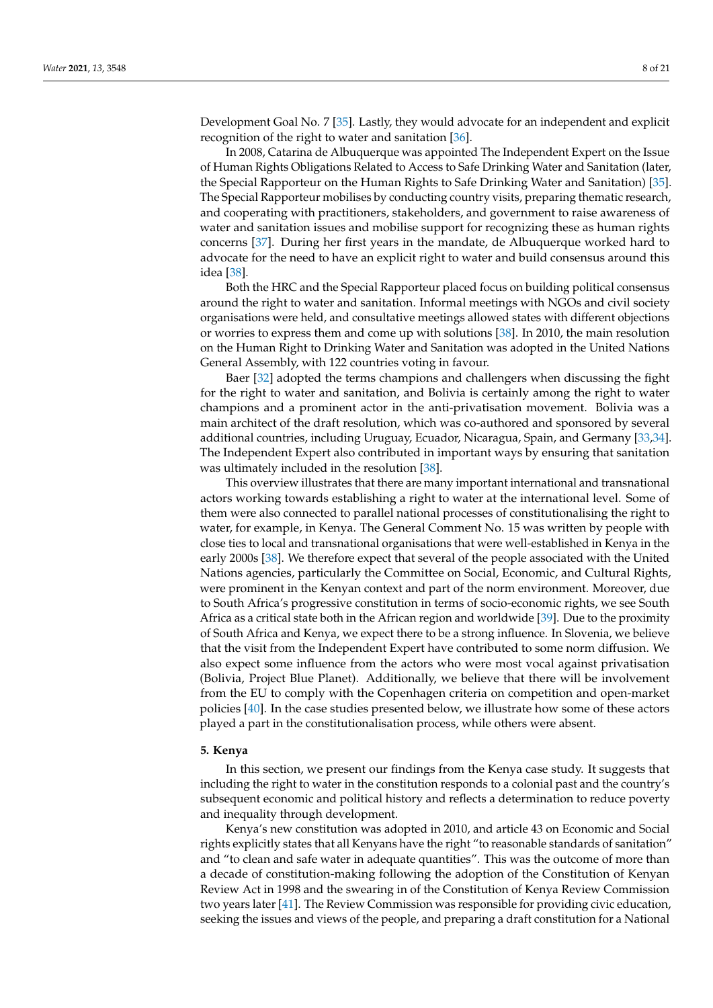Development Goal No. 7 [\[35\]](#page-19-16). Lastly, they would advocate for an independent and explicit recognition of the right to water and sanitation [\[36\]](#page-19-17).

In 2008, Catarina de Albuquerque was appointed The Independent Expert on the Issue of Human Rights Obligations Related to Access to Safe Drinking Water and Sanitation (later, the Special Rapporteur on the Human Rights to Safe Drinking Water and Sanitation) [\[35\]](#page-19-16). The Special Rapporteur mobilises by conducting country visits, preparing thematic research, and cooperating with practitioners, stakeholders, and government to raise awareness of water and sanitation issues and mobilise support for recognizing these as human rights concerns [\[37\]](#page-19-18). During her first years in the mandate, de Albuquerque worked hard to advocate for the need to have an explicit right to water and build consensus around this idea [\[38\]](#page-19-19).

Both the HRC and the Special Rapporteur placed focus on building political consensus around the right to water and sanitation. Informal meetings with NGOs and civil society organisations were held, and consultative meetings allowed states with different objections or worries to express them and come up with solutions [\[38\]](#page-19-19). In 2010, the main resolution on the Human Right to Drinking Water and Sanitation was adopted in the United Nations General Assembly, with 122 countries voting in favour.

Baer [\[32\]](#page-19-13) adopted the terms champions and challengers when discussing the fight for the right to water and sanitation, and Bolivia is certainly among the right to water champions and a prominent actor in the anti-privatisation movement. Bolivia was a main architect of the draft resolution, which was co-authored and sponsored by several additional countries, including Uruguay, Ecuador, Nicaragua, Spain, and Germany [\[33](#page-19-14)[,34\]](#page-19-15). The Independent Expert also contributed in important ways by ensuring that sanitation was ultimately included in the resolution [\[38\]](#page-19-19).

This overview illustrates that there are many important international and transnational actors working towards establishing a right to water at the international level. Some of them were also connected to parallel national processes of constitutionalising the right to water, for example, in Kenya. The General Comment No. 15 was written by people with close ties to local and transnational organisations that were well-established in Kenya in the early 2000s [\[38\]](#page-19-19). We therefore expect that several of the people associated with the United Nations agencies, particularly the Committee on Social, Economic, and Cultural Rights, were prominent in the Kenyan context and part of the norm environment. Moreover, due to South Africa's progressive constitution in terms of socio-economic rights, we see South Africa as a critical state both in the African region and worldwide [\[39\]](#page-19-20). Due to the proximity of South Africa and Kenya, we expect there to be a strong influence. In Slovenia, we believe that the visit from the Independent Expert have contributed to some norm diffusion. We also expect some influence from the actors who were most vocal against privatisation (Bolivia, Project Blue Planet). Additionally, we believe that there will be involvement from the EU to comply with the Copenhagen criteria on competition and open-market policies [\[40\]](#page-19-21). In the case studies presented below, we illustrate how some of these actors played a part in the constitutionalisation process, while others were absent.

# <span id="page-7-0"></span>**5. Kenya**

In this section, we present our findings from the Kenya case study. It suggests that including the right to water in the constitution responds to a colonial past and the country's subsequent economic and political history and reflects a determination to reduce poverty and inequality through development.

Kenya's new constitution was adopted in 2010, and article 43 on Economic and Social rights explicitly states that all Kenyans have the right "to reasonable standards of sanitation" and "to clean and safe water in adequate quantities". This was the outcome of more than a decade of constitution-making following the adoption of the Constitution of Kenyan Review Act in 1998 and the swearing in of the Constitution of Kenya Review Commission two years later [\[41\]](#page-19-22). The Review Commission was responsible for providing civic education, seeking the issues and views of the people, and preparing a draft constitution for a National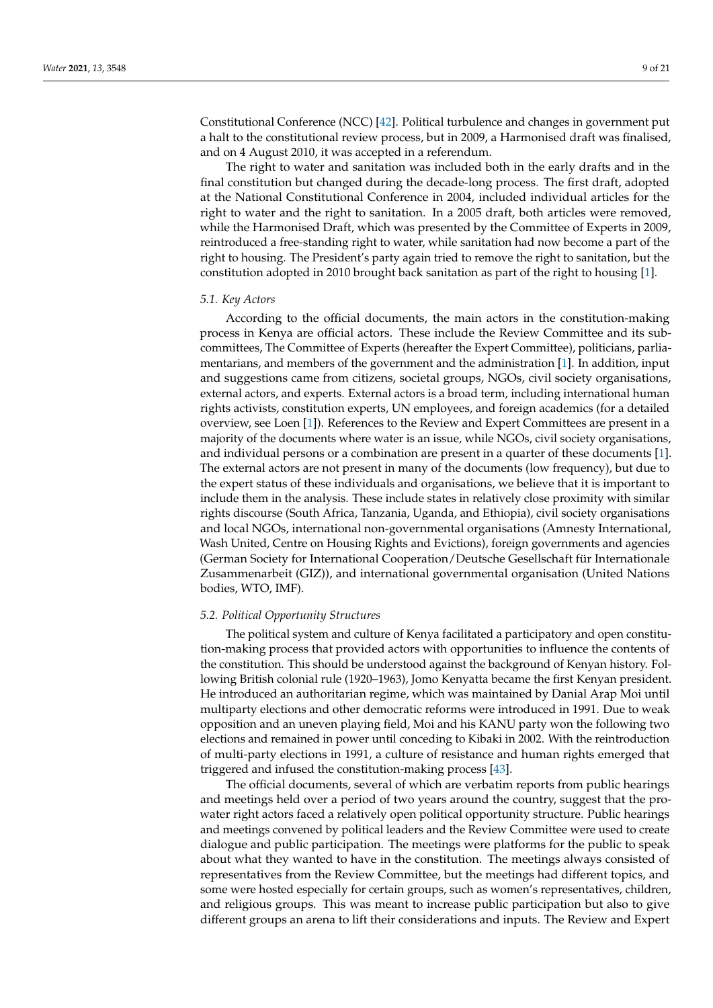Constitutional Conference (NCC) [\[42\]](#page-19-23). Political turbulence and changes in government put a halt to the constitutional review process, but in 2009, a Harmonised draft was finalised, and on 4 August 2010, it was accepted in a referendum.

The right to water and sanitation was included both in the early drafts and in the final constitution but changed during the decade-long process. The first draft, adopted at the National Constitutional Conference in 2004, included individual articles for the right to water and the right to sanitation. In a 2005 draft, both articles were removed, while the Harmonised Draft, which was presented by the Committee of Experts in 2009, reintroduced a free-standing right to water, while sanitation had now become a part of the right to housing. The President's party again tried to remove the right to sanitation, but the constitution adopted in 2010 brought back sanitation as part of the right to housing [\[1\]](#page-18-0).

#### *5.1. Key Actors*

According to the official documents, the main actors in the constitution-making process in Kenya are official actors. These include the Review Committee and its subcommittees, The Committee of Experts (hereafter the Expert Committee), politicians, parliamentarians, and members of the government and the administration [\[1\]](#page-18-0). In addition, input and suggestions came from citizens, societal groups, NGOs, civil society organisations, external actors, and experts. External actors is a broad term, including international human rights activists, constitution experts, UN employees, and foreign academics (for a detailed overview, see Loen [\[1\]](#page-18-0)). References to the Review and Expert Committees are present in a majority of the documents where water is an issue, while NGOs, civil society organisations, and individual persons or a combination are present in a quarter of these documents [\[1\]](#page-18-0). The external actors are not present in many of the documents (low frequency), but due to the expert status of these individuals and organisations, we believe that it is important to include them in the analysis. These include states in relatively close proximity with similar rights discourse (South Africa, Tanzania, Uganda, and Ethiopia), civil society organisations and local NGOs, international non-governmental organisations (Amnesty International, Wash United, Centre on Housing Rights and Evictions), foreign governments and agencies (German Society for International Cooperation/Deutsche Gesellschaft für Internationale Zusammenarbeit (GIZ)), and international governmental organisation (United Nations bodies, WTO, IMF).

#### *5.2. Political Opportunity Structures*

The political system and culture of Kenya facilitated a participatory and open constitution-making process that provided actors with opportunities to influence the contents of the constitution. This should be understood against the background of Kenyan history. Following British colonial rule (1920–1963), Jomo Kenyatta became the first Kenyan president. He introduced an authoritarian regime, which was maintained by Danial Arap Moi until multiparty elections and other democratic reforms were introduced in 1991. Due to weak opposition and an uneven playing field, Moi and his KANU party won the following two elections and remained in power until conceding to Kibaki in 2002. With the reintroduction of multi-party elections in 1991, a culture of resistance and human rights emerged that triggered and infused the constitution-making process [\[43\]](#page-19-24).

The official documents, several of which are verbatim reports from public hearings and meetings held over a period of two years around the country, suggest that the prowater right actors faced a relatively open political opportunity structure. Public hearings and meetings convened by political leaders and the Review Committee were used to create dialogue and public participation. The meetings were platforms for the public to speak about what they wanted to have in the constitution. The meetings always consisted of representatives from the Review Committee, but the meetings had different topics, and some were hosted especially for certain groups, such as women's representatives, children, and religious groups. This was meant to increase public participation but also to give different groups an arena to lift their considerations and inputs. The Review and Expert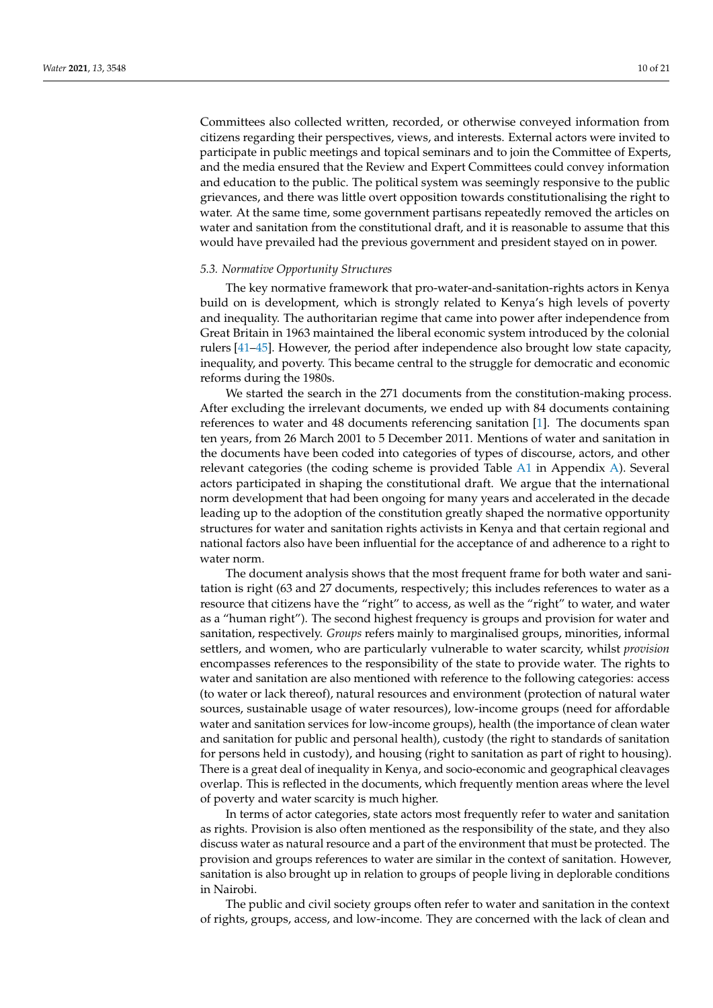Committees also collected written, recorded, or otherwise conveyed information from citizens regarding their perspectives, views, and interests. External actors were invited to participate in public meetings and topical seminars and to join the Committee of Experts, and the media ensured that the Review and Expert Committees could convey information and education to the public. The political system was seemingly responsive to the public grievances, and there was little overt opposition towards constitutionalising the right to water. At the same time, some government partisans repeatedly removed the articles on water and sanitation from the constitutional draft, and it is reasonable to assume that this would have prevailed had the previous government and president stayed on in power.

#### *5.3. Normative Opportunity Structures*

The key normative framework that pro-water-and-sanitation-rights actors in Kenya build on is development, which is strongly related to Kenya's high levels of poverty and inequality. The authoritarian regime that came into power after independence from Great Britain in 1963 maintained the liberal economic system introduced by the colonial rulers [\[41–](#page-19-22)[45\]](#page-19-25). However, the period after independence also brought low state capacity, inequality, and poverty. This became central to the struggle for democratic and economic reforms during the 1980s.

We started the search in the 271 documents from the constitution-making process. After excluding the irrelevant documents, we ended up with 84 documents containing references to water and 48 documents referencing sanitation [\[1\]](#page-18-0). The documents span ten years, from 26 March 2001 to 5 December 2011. Mentions of water and sanitation in the documents have been coded into categories of types of discourse, actors, and other relevant categories (the coding scheme is provided Table [A1](#page-17-0) in Appendix [A\)](#page-17-1). Several actors participated in shaping the constitutional draft. We argue that the international norm development that had been ongoing for many years and accelerated in the decade leading up to the adoption of the constitution greatly shaped the normative opportunity structures for water and sanitation rights activists in Kenya and that certain regional and national factors also have been influential for the acceptance of and adherence to a right to water norm.

The document analysis shows that the most frequent frame for both water and sanitation is right (63 and 27 documents, respectively; this includes references to water as a resource that citizens have the "right" to access, as well as the "right" to water, and water as a "human right"). The second highest frequency is groups and provision for water and sanitation, respectively. *Groups* refers mainly to marginalised groups, minorities, informal settlers, and women, who are particularly vulnerable to water scarcity, whilst *provision* encompasses references to the responsibility of the state to provide water. The rights to water and sanitation are also mentioned with reference to the following categories: access (to water or lack thereof), natural resources and environment (protection of natural water sources, sustainable usage of water resources), low-income groups (need for affordable water and sanitation services for low-income groups), health (the importance of clean water and sanitation for public and personal health), custody (the right to standards of sanitation for persons held in custody), and housing (right to sanitation as part of right to housing). There is a great deal of inequality in Kenya, and socio-economic and geographical cleavages overlap. This is reflected in the documents, which frequently mention areas where the level of poverty and water scarcity is much higher.

In terms of actor categories, state actors most frequently refer to water and sanitation as rights. Provision is also often mentioned as the responsibility of the state, and they also discuss water as natural resource and a part of the environment that must be protected. The provision and groups references to water are similar in the context of sanitation. However, sanitation is also brought up in relation to groups of people living in deplorable conditions in Nairobi.

The public and civil society groups often refer to water and sanitation in the context of rights, groups, access, and low-income. They are concerned with the lack of clean and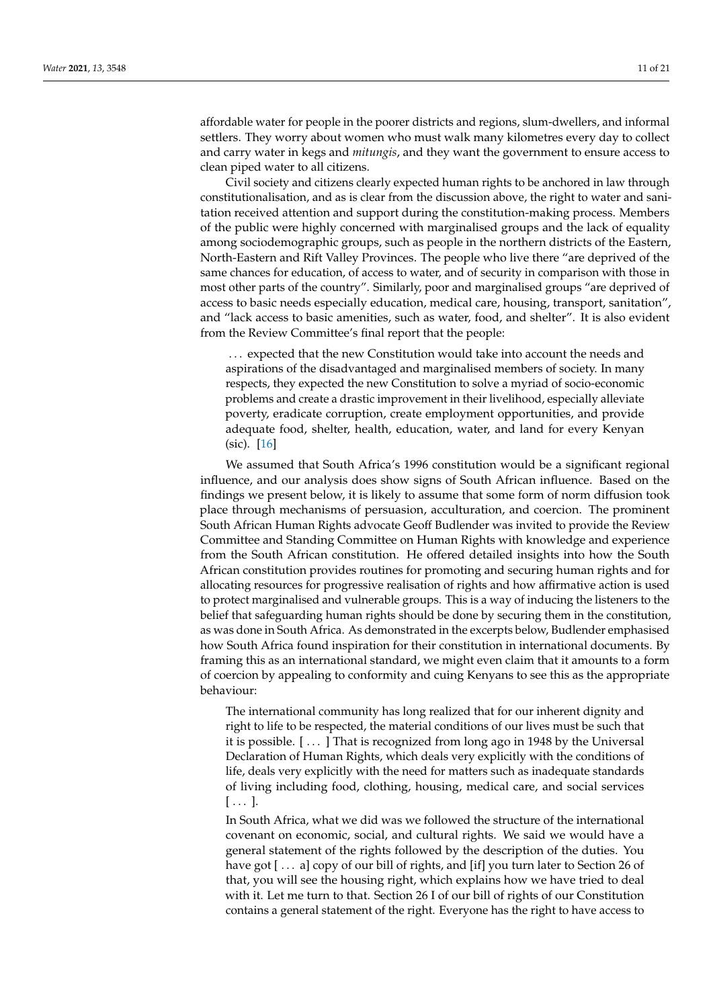affordable water for people in the poorer districts and regions, slum-dwellers, and informal settlers. They worry about women who must walk many kilometres every day to collect and carry water in kegs and *mitungis*, and they want the government to ensure access to clean piped water to all citizens.

Civil society and citizens clearly expected human rights to be anchored in law through constitutionalisation, and as is clear from the discussion above, the right to water and sanitation received attention and support during the constitution-making process. Members of the public were highly concerned with marginalised groups and the lack of equality among sociodemographic groups, such as people in the northern districts of the Eastern, North-Eastern and Rift Valley Provinces. The people who live there "are deprived of the same chances for education, of access to water, and of security in comparison with those in most other parts of the country". Similarly, poor and marginalised groups "are deprived of access to basic needs especially education, medical care, housing, transport, sanitation", and "lack access to basic amenities, such as water, food, and shelter". It is also evident from the Review Committee's final report that the people:

. . . expected that the new Constitution would take into account the needs and aspirations of the disadvantaged and marginalised members of society. In many respects, they expected the new Constitution to solve a myriad of socio-economic problems and create a drastic improvement in their livelihood, especially alleviate poverty, eradicate corruption, create employment opportunities, and provide adequate food, shelter, health, education, water, and land for every Kenyan (sic). [\[16\]](#page-18-15)

We assumed that South Africa's 1996 constitution would be a significant regional influence, and our analysis does show signs of South African influence. Based on the findings we present below, it is likely to assume that some form of norm diffusion took place through mechanisms of persuasion, acculturation, and coercion. The prominent South African Human Rights advocate Geoff Budlender was invited to provide the Review Committee and Standing Committee on Human Rights with knowledge and experience from the South African constitution. He offered detailed insights into how the South African constitution provides routines for promoting and securing human rights and for allocating resources for progressive realisation of rights and how affirmative action is used to protect marginalised and vulnerable groups. This is a way of inducing the listeners to the belief that safeguarding human rights should be done by securing them in the constitution, as was done in South Africa. As demonstrated in the excerpts below, Budlender emphasised how South Africa found inspiration for their constitution in international documents. By framing this as an international standard, we might even claim that it amounts to a form of coercion by appealing to conformity and cuing Kenyans to see this as the appropriate behaviour:

The international community has long realized that for our inherent dignity and right to life to be respected, the material conditions of our lives must be such that it is possible. [ . . . ] That is recognized from long ago in 1948 by the Universal Declaration of Human Rights, which deals very explicitly with the conditions of life, deals very explicitly with the need for matters such as inadequate standards of living including food, clothing, housing, medical care, and social services  $[\ldots]$ .

In South Africa, what we did was we followed the structure of the international covenant on economic, social, and cultural rights. We said we would have a general statement of the rights followed by the description of the duties. You have got [... a] copy of our bill of rights, and [if] you turn later to Section 26 of that, you will see the housing right, which explains how we have tried to deal with it. Let me turn to that. Section 26 I of our bill of rights of our Constitution contains a general statement of the right. Everyone has the right to have access to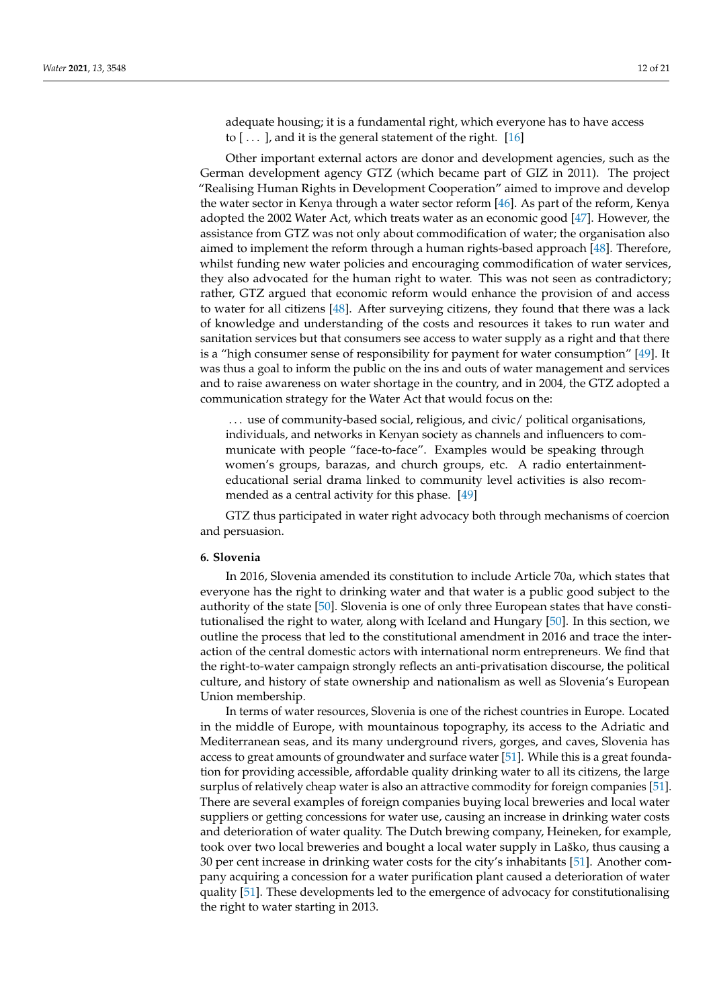adequate housing; it is a fundamental right, which everyone has to have access to  $[$ ...], and it is the general statement of the right.  $[16]$ 

Other important external actors are donor and development agencies, such as the German development agency GTZ (which became part of GIZ in 2011). The project "Realising Human Rights in Development Cooperation" aimed to improve and develop the water sector in Kenya through a water sector reform [\[46\]](#page-19-26). As part of the reform, Kenya adopted the 2002 Water Act, which treats water as an economic good [\[47\]](#page-19-27). However, the assistance from GTZ was not only about commodification of water; the organisation also aimed to implement the reform through a human rights-based approach [\[48\]](#page-19-28). Therefore, whilst funding new water policies and encouraging commodification of water services, they also advocated for the human right to water. This was not seen as contradictory; rather, GTZ argued that economic reform would enhance the provision of and access to water for all citizens [\[48\]](#page-19-28). After surveying citizens, they found that there was a lack of knowledge and understanding of the costs and resources it takes to run water and sanitation services but that consumers see access to water supply as a right and that there is a "high consumer sense of responsibility for payment for water consumption" [\[49\]](#page-19-29). It was thus a goal to inform the public on the ins and outs of water management and services and to raise awareness on water shortage in the country, and in 2004, the GTZ adopted a communication strategy for the Water Act that would focus on the:

... use of community-based social, religious, and civic/ political organisations, individuals, and networks in Kenyan society as channels and influencers to communicate with people "face-to-face". Examples would be speaking through women's groups, barazas, and church groups, etc. A radio entertainmenteducational serial drama linked to community level activities is also recommended as a central activity for this phase. [\[49\]](#page-19-29)

GTZ thus participated in water right advocacy both through mechanisms of coercion and persuasion.

# <span id="page-11-0"></span>**6. Slovenia**

In 2016, Slovenia amended its constitution to include Article 70a, which states that everyone has the right to drinking water and that water is a public good subject to the authority of the state [\[50\]](#page-19-30). Slovenia is one of only three European states that have constitutionalised the right to water, along with Iceland and Hungary [\[50\]](#page-19-30). In this section, we outline the process that led to the constitutional amendment in 2016 and trace the interaction of the central domestic actors with international norm entrepreneurs. We find that the right-to-water campaign strongly reflects an anti-privatisation discourse, the political culture, and history of state ownership and nationalism as well as Slovenia's European Union membership.

In terms of water resources, Slovenia is one of the richest countries in Europe. Located in the middle of Europe, with mountainous topography, its access to the Adriatic and Mediterranean seas, and its many underground rivers, gorges, and caves, Slovenia has access to great amounts of groundwater and surface water [\[51\]](#page-20-0). While this is a great foundation for providing accessible, affordable quality drinking water to all its citizens, the large surplus of relatively cheap water is also an attractive commodity for foreign companies [\[51\]](#page-20-0). There are several examples of foreign companies buying local breweries and local water suppliers or getting concessions for water use, causing an increase in drinking water costs and deterioration of water quality. The Dutch brewing company, Heineken, for example, took over two local breweries and bought a local water supply in Laško, thus causing a 30 per cent increase in drinking water costs for the city's inhabitants [\[51\]](#page-20-0). Another company acquiring a concession for a water purification plant caused a deterioration of water quality [\[51\]](#page-20-0). These developments led to the emergence of advocacy for constitutionalising the right to water starting in 2013.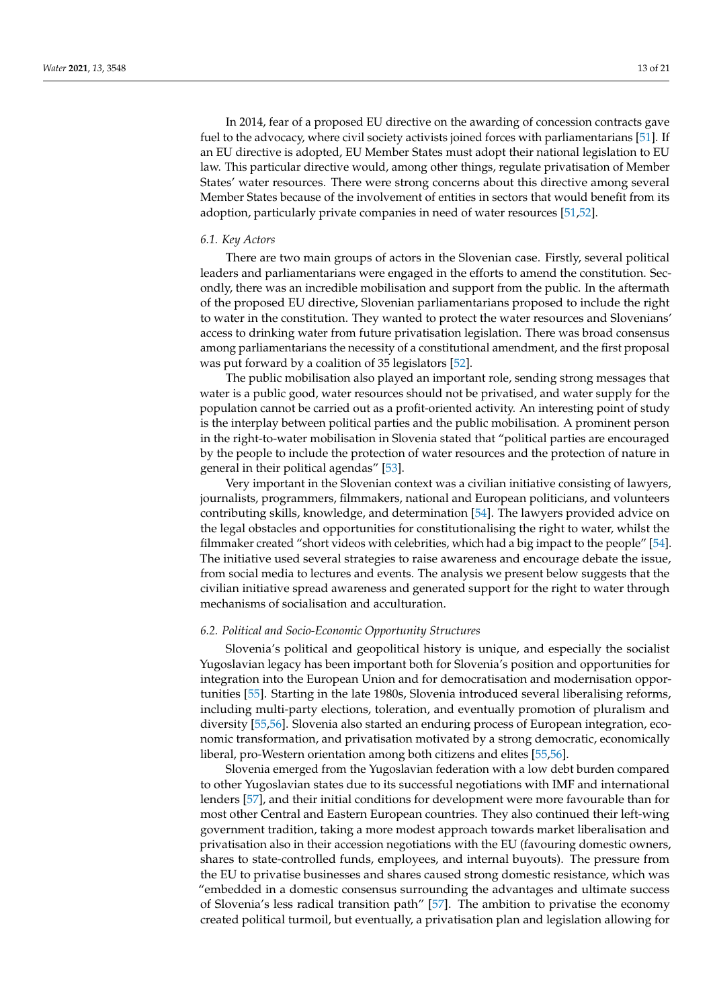In 2014, fear of a proposed EU directive on the awarding of concession contracts gave fuel to the advocacy, where civil society activists joined forces with parliamentarians [\[51\]](#page-20-0). If an EU directive is adopted, EU Member States must adopt their national legislation to EU law. This particular directive would, among other things, regulate privatisation of Member States' water resources. There were strong concerns about this directive among several Member States because of the involvement of entities in sectors that would benefit from its adoption, particularly private companies in need of water resources [\[51](#page-20-0)[,52\]](#page-20-1).

#### *6.1. Key Actors*

There are two main groups of actors in the Slovenian case. Firstly, several political leaders and parliamentarians were engaged in the efforts to amend the constitution. Secondly, there was an incredible mobilisation and support from the public. In the aftermath of the proposed EU directive, Slovenian parliamentarians proposed to include the right to water in the constitution. They wanted to protect the water resources and Slovenians' access to drinking water from future privatisation legislation. There was broad consensus among parliamentarians the necessity of a constitutional amendment, and the first proposal was put forward by a coalition of 35 legislators [\[52\]](#page-20-1).

The public mobilisation also played an important role, sending strong messages that water is a public good, water resources should not be privatised, and water supply for the population cannot be carried out as a profit-oriented activity. An interesting point of study is the interplay between political parties and the public mobilisation. A prominent person in the right-to-water mobilisation in Slovenia stated that "political parties are encouraged by the people to include the protection of water resources and the protection of nature in general in their political agendas" [\[53\]](#page-20-2).

Very important in the Slovenian context was a civilian initiative consisting of lawyers, journalists, programmers, filmmakers, national and European politicians, and volunteers contributing skills, knowledge, and determination [\[54\]](#page-20-3). The lawyers provided advice on the legal obstacles and opportunities for constitutionalising the right to water, whilst the filmmaker created "short videos with celebrities, which had a big impact to the people" [\[54\]](#page-20-3). The initiative used several strategies to raise awareness and encourage debate the issue, from social media to lectures and events. The analysis we present below suggests that the civilian initiative spread awareness and generated support for the right to water through mechanisms of socialisation and acculturation.

#### *6.2. Political and Socio-Economic Opportunity Structures*

Slovenia's political and geopolitical history is unique, and especially the socialist Yugoslavian legacy has been important both for Slovenia's position and opportunities for integration into the European Union and for democratisation and modernisation opportunities [\[55\]](#page-20-4). Starting in the late 1980s, Slovenia introduced several liberalising reforms, including multi-party elections, toleration, and eventually promotion of pluralism and diversity [\[55](#page-20-4)[,56\]](#page-20-5). Slovenia also started an enduring process of European integration, economic transformation, and privatisation motivated by a strong democratic, economically liberal, pro-Western orientation among both citizens and elites [\[55,](#page-20-4)[56\]](#page-20-5).

Slovenia emerged from the Yugoslavian federation with a low debt burden compared to other Yugoslavian states due to its successful negotiations with IMF and international lenders [\[57\]](#page-20-6), and their initial conditions for development were more favourable than for most other Central and Eastern European countries. They also continued their left-wing government tradition, taking a more modest approach towards market liberalisation and privatisation also in their accession negotiations with the EU (favouring domestic owners, shares to state-controlled funds, employees, and internal buyouts). The pressure from the EU to privatise businesses and shares caused strong domestic resistance, which was "embedded in a domestic consensus surrounding the advantages and ultimate success of Slovenia's less radical transition path" [\[57\]](#page-20-6). The ambition to privatise the economy created political turmoil, but eventually, a privatisation plan and legislation allowing for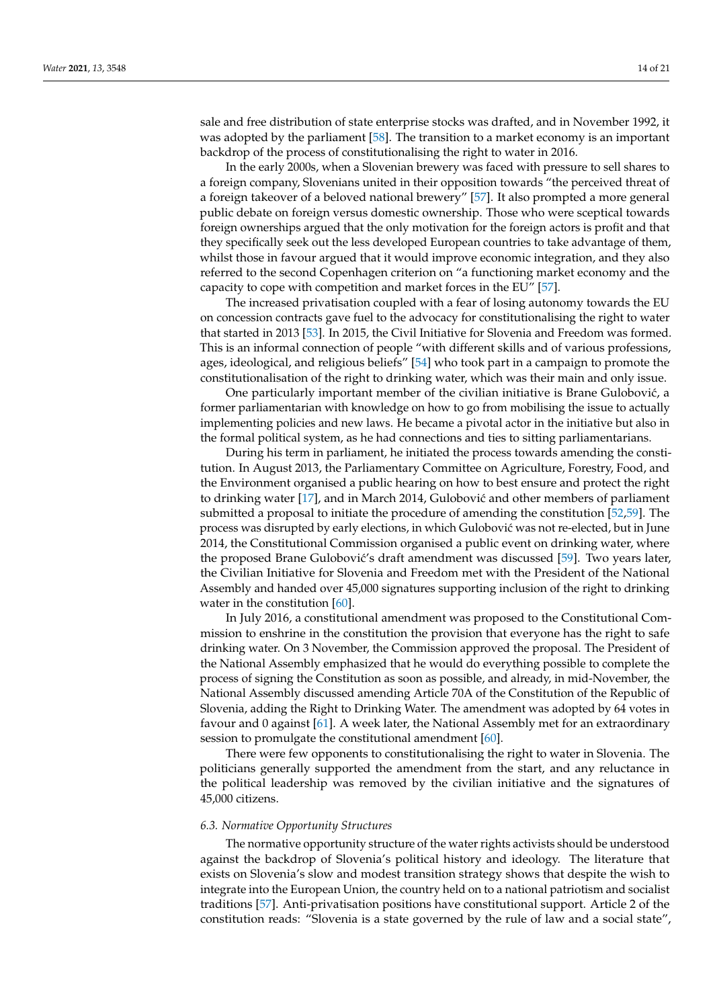sale and free distribution of state enterprise stocks was drafted, and in November 1992, it was adopted by the parliament [\[58\]](#page-20-7). The transition to a market economy is an important backdrop of the process of constitutionalising the right to water in 2016.

In the early 2000s, when a Slovenian brewery was faced with pressure to sell shares to a foreign company, Slovenians united in their opposition towards "the perceived threat of a foreign takeover of a beloved national brewery" [\[57\]](#page-20-6). It also prompted a more general public debate on foreign versus domestic ownership. Those who were sceptical towards foreign ownerships argued that the only motivation for the foreign actors is profit and that they specifically seek out the less developed European countries to take advantage of them, whilst those in favour argued that it would improve economic integration, and they also referred to the second Copenhagen criterion on "a functioning market economy and the capacity to cope with competition and market forces in the EU" [\[57\]](#page-20-6).

The increased privatisation coupled with a fear of losing autonomy towards the EU on concession contracts gave fuel to the advocacy for constitutionalising the right to water that started in 2013 [\[53\]](#page-20-2). In 2015, the Civil Initiative for Slovenia and Freedom was formed. This is an informal connection of people "with different skills and of various professions, ages, ideological, and religious beliefs" [\[54\]](#page-20-3) who took part in a campaign to promote the constitutionalisation of the right to drinking water, which was their main and only issue.

One particularly important member of the civilian initiative is Brane Gulobović, a former parliamentarian with knowledge on how to go from mobilising the issue to actually implementing policies and new laws. He became a pivotal actor in the initiative but also in the formal political system, as he had connections and ties to sitting parliamentarians.

During his term in parliament, he initiated the process towards amending the constitution. In August 2013, the Parliamentary Committee on Agriculture, Forestry, Food, and the Environment organised a public hearing on how to best ensure and protect the right to drinking water  $[17]$ , and in March 2014, Gulobović and other members of parliament submitted a proposal to initiate the procedure of amending the constitution [\[52](#page-20-1)[,59\]](#page-20-8). The process was disrupted by early elections, in which Gulobović was not re-elected, but in June 2014, the Constitutional Commission organised a public event on drinking water, where the proposed Brane Gulobović's draft amendment was discussed [\[59\]](#page-20-8). Two years later, the Civilian Initiative for Slovenia and Freedom met with the President of the National Assembly and handed over 45,000 signatures supporting inclusion of the right to drinking water in the constitution [\[60\]](#page-20-9).

In July 2016, a constitutional amendment was proposed to the Constitutional Commission to enshrine in the constitution the provision that everyone has the right to safe drinking water. On 3 November, the Commission approved the proposal. The President of the National Assembly emphasized that he would do everything possible to complete the process of signing the Constitution as soon as possible, and already, in mid-November, the National Assembly discussed amending Article 70A of the Constitution of the Republic of Slovenia, adding the Right to Drinking Water. The amendment was adopted by 64 votes in favour and 0 against [\[61\]](#page-20-10). A week later, the National Assembly met for an extraordinary session to promulgate the constitutional amendment [\[60\]](#page-20-9).

There were few opponents to constitutionalising the right to water in Slovenia. The politicians generally supported the amendment from the start, and any reluctance in the political leadership was removed by the civilian initiative and the signatures of 45,000 citizens.

#### *6.3. Normative Opportunity Structures*

The normative opportunity structure of the water rights activists should be understood against the backdrop of Slovenia's political history and ideology. The literature that exists on Slovenia's slow and modest transition strategy shows that despite the wish to integrate into the European Union, the country held on to a national patriotism and socialist traditions [\[57\]](#page-20-6). Anti-privatisation positions have constitutional support. Article 2 of the constitution reads: "Slovenia is a state governed by the rule of law and a social state",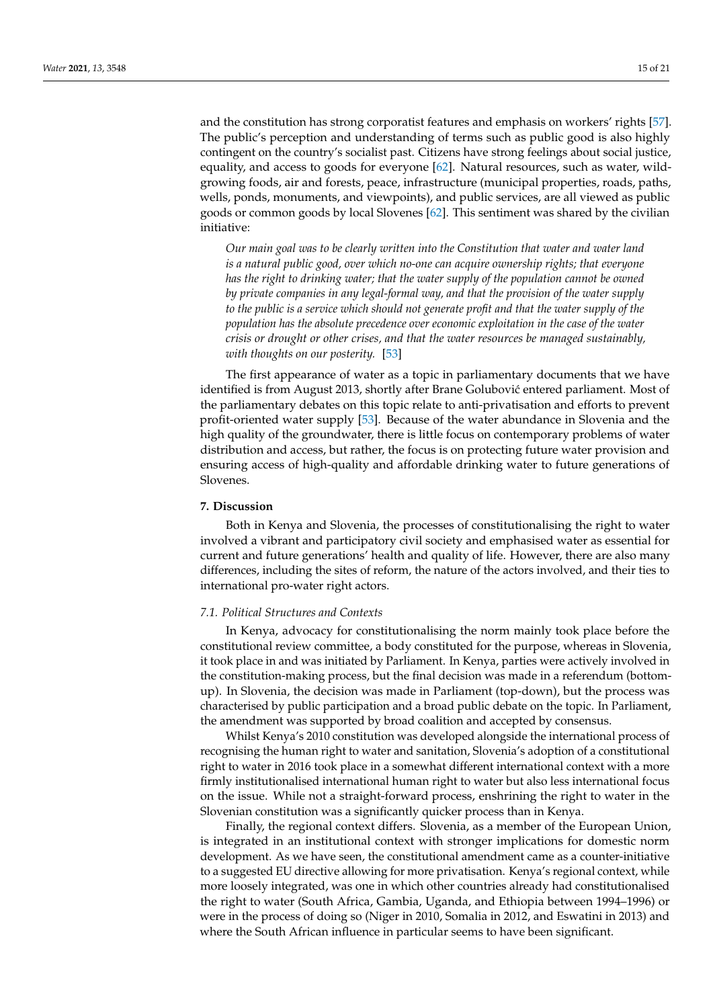and the constitution has strong corporatist features and emphasis on workers' rights [\[57\]](#page-20-6). The public's perception and understanding of terms such as public good is also highly contingent on the country's socialist past. Citizens have strong feelings about social justice, equality, and access to goods for everyone [\[62\]](#page-20-11). Natural resources, such as water, wildgrowing foods, air and forests, peace, infrastructure (municipal properties, roads, paths, wells, ponds, monuments, and viewpoints), and public services, are all viewed as public goods or common goods by local Slovenes [\[62\]](#page-20-11). This sentiment was shared by the civilian initiative:

*Our main goal was to be clearly written into the Constitution that water and water land is a natural public good, over which no-one can acquire ownership rights; that everyone has the right to drinking water; that the water supply of the population cannot be owned by private companies in any legal-formal way, and that the provision of the water supply to the public is a service which should not generate profit and that the water supply of the population has the absolute precedence over economic exploitation in the case of the water crisis or drought or other crises, and that the water resources be managed sustainably, with thoughts on our posterity.* [\[53\]](#page-20-2)

The first appearance of water as a topic in parliamentary documents that we have identified is from August 2013, shortly after Brane Golubović entered parliament. Most of the parliamentary debates on this topic relate to anti-privatisation and efforts to prevent profit-oriented water supply [\[53\]](#page-20-2). Because of the water abundance in Slovenia and the high quality of the groundwater, there is little focus on contemporary problems of water distribution and access, but rather, the focus is on protecting future water provision and ensuring access of high-quality and affordable drinking water to future generations of Slovenes.

# <span id="page-14-0"></span>**7. Discussion**

Both in Kenya and Slovenia, the processes of constitutionalising the right to water involved a vibrant and participatory civil society and emphasised water as essential for current and future generations' health and quality of life. However, there are also many differences, including the sites of reform, the nature of the actors involved, and their ties to international pro-water right actors.

#### *7.1. Political Structures and Contexts*

In Kenya, advocacy for constitutionalising the norm mainly took place before the constitutional review committee, a body constituted for the purpose, whereas in Slovenia, it took place in and was initiated by Parliament. In Kenya, parties were actively involved in the constitution-making process, but the final decision was made in a referendum (bottomup). In Slovenia, the decision was made in Parliament (top-down), but the process was characterised by public participation and a broad public debate on the topic. In Parliament, the amendment was supported by broad coalition and accepted by consensus.

Whilst Kenya's 2010 constitution was developed alongside the international process of recognising the human right to water and sanitation, Slovenia's adoption of a constitutional right to water in 2016 took place in a somewhat different international context with a more firmly institutionalised international human right to water but also less international focus on the issue. While not a straight-forward process, enshrining the right to water in the Slovenian constitution was a significantly quicker process than in Kenya.

Finally, the regional context differs. Slovenia, as a member of the European Union, is integrated in an institutional context with stronger implications for domestic norm development. As we have seen, the constitutional amendment came as a counter-initiative to a suggested EU directive allowing for more privatisation. Kenya's regional context, while more loosely integrated, was one in which other countries already had constitutionalised the right to water (South Africa, Gambia, Uganda, and Ethiopia between 1994–1996) or were in the process of doing so (Niger in 2010, Somalia in 2012, and Eswatini in 2013) and where the South African influence in particular seems to have been significant.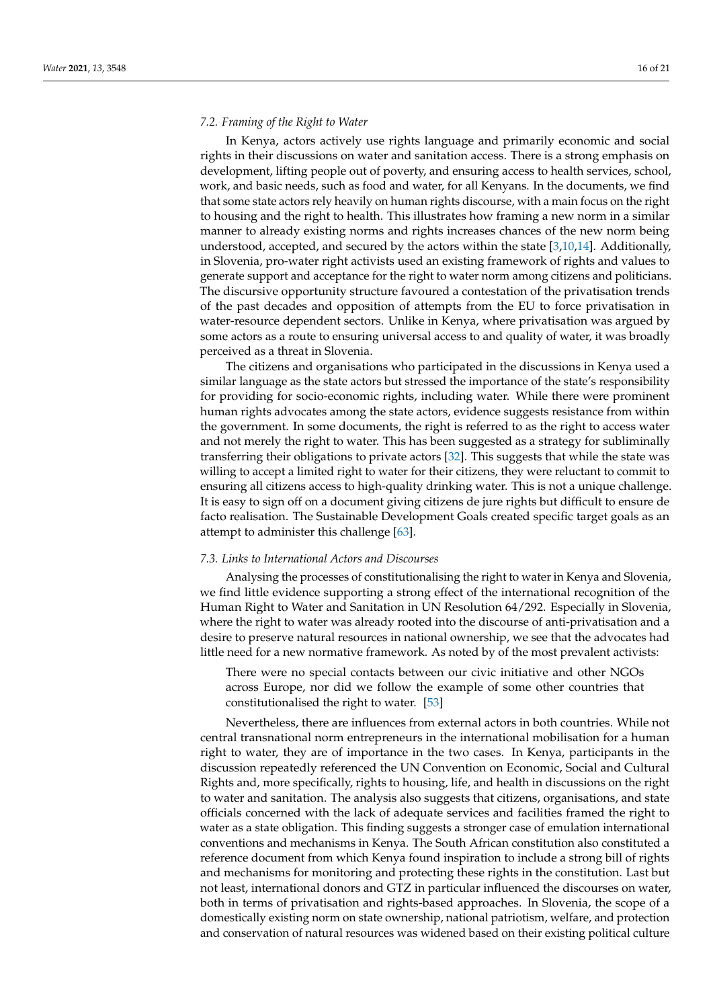# *7.2. Framing of the Right to Water*

In Kenya, actors actively use rights language and primarily economic and social rights in their discussions on water and sanitation access. There is a strong emphasis on development, lifting people out of poverty, and ensuring access to health services, school, work, and basic needs, such as food and water, for all Kenyans. In the documents, we find that some state actors rely heavily on human rights discourse, with a main focus on the right to housing and the right to health. This illustrates how framing a new norm in a similar manner to already existing norms and rights increases chances of the new norm being understood, accepted, and secured by the actors within the state [\[3,](#page-18-2)[10,](#page-18-9)[14\]](#page-18-13). Additionally, in Slovenia, pro-water right activists used an existing framework of rights and values to generate support and acceptance for the right to water norm among citizens and politicians. The discursive opportunity structure favoured a contestation of the privatisation trends of the past decades and opposition of attempts from the EU to force privatisation in water-resource dependent sectors. Unlike in Kenya, where privatisation was argued by some actors as a route to ensuring universal access to and quality of water, it was broadly perceived as a threat in Slovenia.

The citizens and organisations who participated in the discussions in Kenya used a similar language as the state actors but stressed the importance of the state's responsibility for providing for socio-economic rights, including water. While there were prominent human rights advocates among the state actors, evidence suggests resistance from within the government. In some documents, the right is referred to as the right to access water and not merely the right to water. This has been suggested as a strategy for subliminally transferring their obligations to private actors [\[32\]](#page-19-13). This suggests that while the state was willing to accept a limited right to water for their citizens, they were reluctant to commit to ensuring all citizens access to high-quality drinking water. This is not a unique challenge. It is easy to sign off on a document giving citizens de jure rights but difficult to ensure de facto realisation. The Sustainable Development Goals created specific target goals as an attempt to administer this challenge [\[63\]](#page-20-12).

#### *7.3. Links to International Actors and Discourses*

Analysing the processes of constitutionalising the right to water in Kenya and Slovenia, we find little evidence supporting a strong effect of the international recognition of the Human Right to Water and Sanitation in UN Resolution 64/292. Especially in Slovenia, where the right to water was already rooted into the discourse of anti-privatisation and a desire to preserve natural resources in national ownership, we see that the advocates had little need for a new normative framework. As noted by of the most prevalent activists:

There were no special contacts between our civic initiative and other NGOs across Europe, nor did we follow the example of some other countries that constitutionalised the right to water. [\[53\]](#page-20-2)

Nevertheless, there are influences from external actors in both countries. While not central transnational norm entrepreneurs in the international mobilisation for a human right to water, they are of importance in the two cases. In Kenya, participants in the discussion repeatedly referenced the UN Convention on Economic, Social and Cultural Rights and, more specifically, rights to housing, life, and health in discussions on the right to water and sanitation. The analysis also suggests that citizens, organisations, and state officials concerned with the lack of adequate services and facilities framed the right to water as a state obligation. This finding suggests a stronger case of emulation international conventions and mechanisms in Kenya. The South African constitution also constituted a reference document from which Kenya found inspiration to include a strong bill of rights and mechanisms for monitoring and protecting these rights in the constitution. Last but not least, international donors and GTZ in particular influenced the discourses on water, both in terms of privatisation and rights-based approaches. In Slovenia, the scope of a domestically existing norm on state ownership, national patriotism, welfare, and protection and conservation of natural resources was widened based on their existing political culture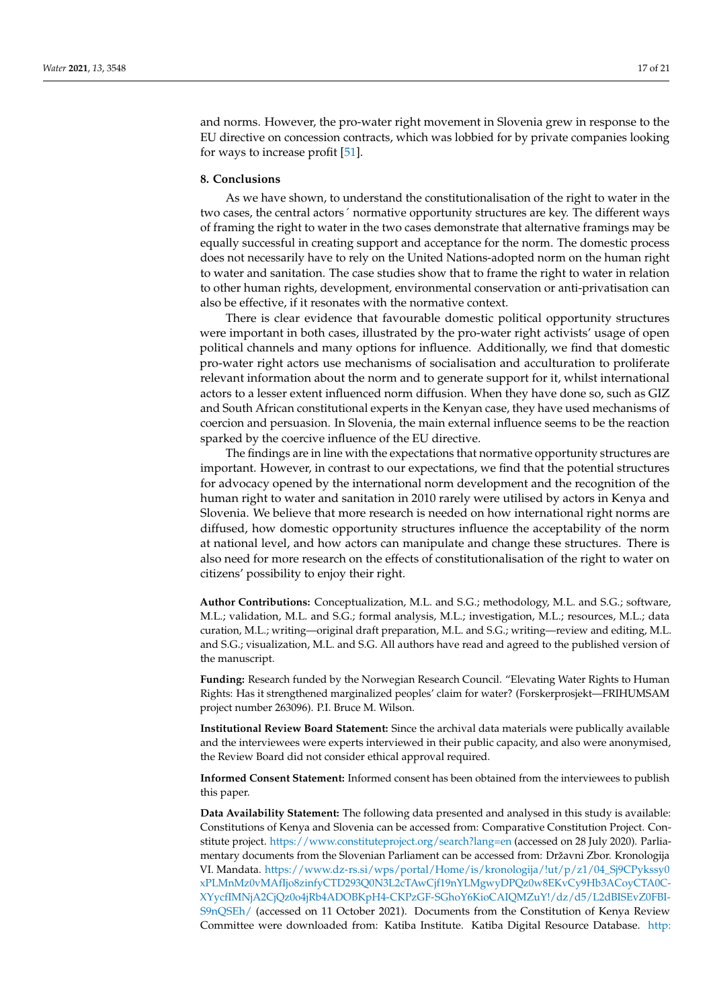and norms. However, the pro-water right movement in Slovenia grew in response to the EU directive on concession contracts, which was lobbied for by private companies looking for ways to increase profit [\[51\]](#page-20-0).

#### <span id="page-16-0"></span>**8. Conclusions**

As we have shown, to understand the constitutionalisation of the right to water in the two cases, the central actors´ normative opportunity structures are key. The different ways of framing the right to water in the two cases demonstrate that alternative framings may be equally successful in creating support and acceptance for the norm. The domestic process does not necessarily have to rely on the United Nations-adopted norm on the human right to water and sanitation. The case studies show that to frame the right to water in relation to other human rights, development, environmental conservation or anti-privatisation can also be effective, if it resonates with the normative context.

There is clear evidence that favourable domestic political opportunity structures were important in both cases, illustrated by the pro-water right activists' usage of open political channels and many options for influence. Additionally, we find that domestic pro-water right actors use mechanisms of socialisation and acculturation to proliferate relevant information about the norm and to generate support for it, whilst international actors to a lesser extent influenced norm diffusion. When they have done so, such as GIZ and South African constitutional experts in the Kenyan case, they have used mechanisms of coercion and persuasion. In Slovenia, the main external influence seems to be the reaction sparked by the coercive influence of the EU directive.

The findings are in line with the expectations that normative opportunity structures are important. However, in contrast to our expectations, we find that the potential structures for advocacy opened by the international norm development and the recognition of the human right to water and sanitation in 2010 rarely were utilised by actors in Kenya and Slovenia. We believe that more research is needed on how international right norms are diffused, how domestic opportunity structures influence the acceptability of the norm at national level, and how actors can manipulate and change these structures. There is also need for more research on the effects of constitutionalisation of the right to water on citizens' possibility to enjoy their right.

**Author Contributions:** Conceptualization, M.L. and S.G.; methodology, M.L. and S.G.; software, M.L.; validation, M.L. and S.G.; formal analysis, M.L.; investigation, M.L.; resources, M.L.; data curation, M.L.; writing—original draft preparation, M.L. and S.G.; writing—review and editing, M.L. and S.G.; visualization, M.L. and S.G. All authors have read and agreed to the published version of the manuscript.

**Funding:** Research funded by the Norwegian Research Council. "Elevating Water Rights to Human Rights: Has it strengthened marginalized peoples' claim for water? (Forskerprosjekt—FRIHUMSAM project number 263096). P.I. Bruce M. Wilson.

**Institutional Review Board Statement:** Since the archival data materials were publically available and the interviewees were experts interviewed in their public capacity, and also were anonymised, the Review Board did not consider ethical approval required.

**Informed Consent Statement:** Informed consent has been obtained from the interviewees to publish this paper.

**Data Availability Statement:** The following data presented and analysed in this study is available: Constitutions of Kenya and Slovenia can be accessed from: Comparative Constitution Project. Constitute project. <https://www.constituteproject.org/search?lang=en> (accessed on 28 July 2020). Parliamentary documents from the Slovenian Parliament can be accessed from: Državni Zbor. Kronologija VI. Mandata. [https://www.dz-rs.si/wps/portal/Home/is/kronologija/!ut/p/z1/04\\_Sj9CPykssy0](https://www.dz-rs.si/wps/portal/Home/is/kronologija/!ut/p/z1/04_Sj9CPykssy0xPLMnMz0vMAfIjo8zinfyCTD293Q0N3L2cTAwCjf19nYLMgwyDPQz0w8EKvCy9Hb3ACoyCTA0C-XYycfIMNjA2CjQz0o4jRb4ADOBKpH4-CKPzGF-SGhoY6KioCAIQMZuY!/dz/d5/L2dBISEvZ0FBI-S9nQSEh/) [xPLMnMz0vMAfIjo8zinfyCTD293Q0N3L2cTAwCjf19nYLMgwyDPQz0w8EKvCy9Hb3ACoyCTA0C-](https://www.dz-rs.si/wps/portal/Home/is/kronologija/!ut/p/z1/04_Sj9CPykssy0xPLMnMz0vMAfIjo8zinfyCTD293Q0N3L2cTAwCjf19nYLMgwyDPQz0w8EKvCy9Hb3ACoyCTA0C-XYycfIMNjA2CjQz0o4jRb4ADOBKpH4-CKPzGF-SGhoY6KioCAIQMZuY!/dz/d5/L2dBISEvZ0FBI-S9nQSEh/)[XYycfIMNjA2CjQz0o4jRb4ADOBKpH4-CKPzGF-SGhoY6KioCAIQMZuY!/dz/d5/L2dBISEvZ0FBI-](https://www.dz-rs.si/wps/portal/Home/is/kronologija/!ut/p/z1/04_Sj9CPykssy0xPLMnMz0vMAfIjo8zinfyCTD293Q0N3L2cTAwCjf19nYLMgwyDPQz0w8EKvCy9Hb3ACoyCTA0C-XYycfIMNjA2CjQz0o4jRb4ADOBKpH4-CKPzGF-SGhoY6KioCAIQMZuY!/dz/d5/L2dBISEvZ0FBI-S9nQSEh/)[S9nQSEh/](https://www.dz-rs.si/wps/portal/Home/is/kronologija/!ut/p/z1/04_Sj9CPykssy0xPLMnMz0vMAfIjo8zinfyCTD293Q0N3L2cTAwCjf19nYLMgwyDPQz0w8EKvCy9Hb3ACoyCTA0C-XYycfIMNjA2CjQz0o4jRb4ADOBKpH4-CKPzGF-SGhoY6KioCAIQMZuY!/dz/d5/L2dBISEvZ0FBI-S9nQSEh/) (accessed on 11 October 2021). Documents from the Constitution of Kenya Review Committee were downloaded from: Katiba Institute. Katiba Digital Resource Database. [http:](http://www.katibainstitute.org/Archives/)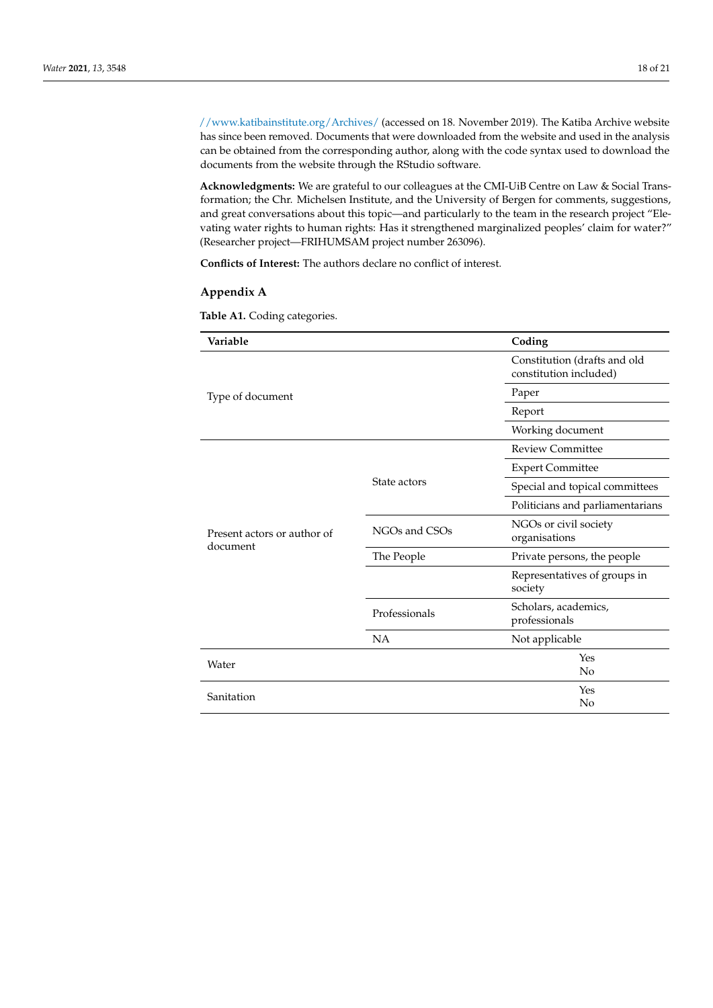[//www.katibainstitute.org/Archives/](http://www.katibainstitute.org/Archives/) (accessed on 18. November 2019). The Katiba Archive website has since been removed. Documents that were downloaded from the website and used in the analysis can be obtained from the corresponding author, along with the code syntax used to download the documents from the website through the RStudio software.

**Acknowledgments:** We are grateful to our colleagues at the CMI-UiB Centre on Law & Social Transformation; the Chr. Michelsen Institute, and the University of Bergen for comments, suggestions, and great conversations about this topic—and particularly to the team in the research project "Elevating water rights to human rights: Has it strengthened marginalized peoples' claim for water?" (Researcher project—FRIHUMSAM project number 263096).

**Conflicts of Interest:** The authors declare no conflict of interest.

# <span id="page-17-1"></span>**Appendix A**

<span id="page-17-0"></span>**Table A1.** Coding categories.

| Variable                                |               | Coding                                                 |  |
|-----------------------------------------|---------------|--------------------------------------------------------|--|
| Type of document                        |               | Constitution (drafts and old<br>constitution included) |  |
|                                         |               | Paper                                                  |  |
|                                         |               | Report                                                 |  |
|                                         |               | Working document                                       |  |
|                                         |               | <b>Review Committee</b>                                |  |
|                                         |               | <b>Expert Committee</b>                                |  |
|                                         | State actors  | Special and topical committees                         |  |
|                                         |               | Politicians and parliamentarians                       |  |
| Present actors or author of<br>document | NGOs and CSOs | NGOs or civil society<br>organisations                 |  |
|                                         | The People    | Private persons, the people                            |  |
|                                         |               | Representatives of groups in<br>society                |  |
|                                         | Professionals | Scholars, academics,<br>professionals                  |  |
|                                         | <b>NA</b>     | Not applicable                                         |  |
| Water                                   |               | Yes<br>No                                              |  |
| Sanitation                              |               | Yes<br>No                                              |  |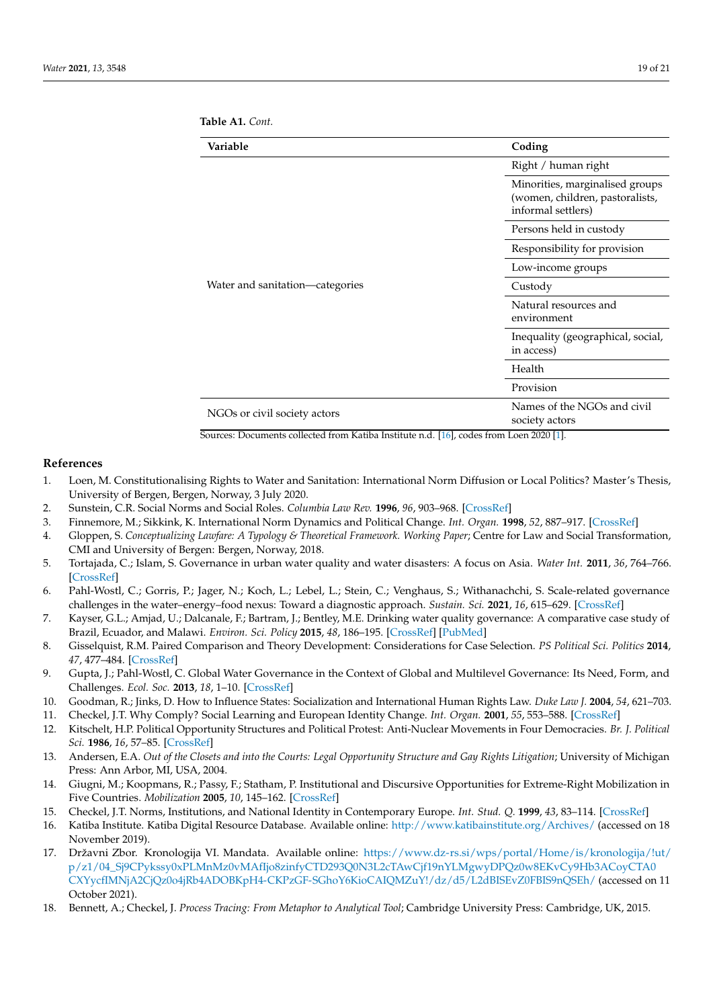| Variable                        | Coding                                                                                   |  |
|---------------------------------|------------------------------------------------------------------------------------------|--|
|                                 | Right / human right                                                                      |  |
|                                 | Minorities, marginalised groups<br>(women, children, pastoralists,<br>informal settlers) |  |
|                                 | Persons held in custody                                                                  |  |
|                                 | Responsibility for provision<br>Low-income groups                                        |  |
|                                 |                                                                                          |  |
| Water and sanitation—categories | Custody                                                                                  |  |
|                                 | Natural resources and<br>environment                                                     |  |
|                                 | Inequality (geographical, social,<br>in access)                                          |  |
|                                 | Health                                                                                   |  |
|                                 | Provision                                                                                |  |
| NGOs or civil society actors    | Names of the NGOs and civil<br>society actors                                            |  |

**Table A1.** *Cont.*

Sources: Documents collected from Katiba Institute n.d. [\[16\]](#page-18-15), codes from Loen 2020 [\[1\]](#page-18-0).

# **References**

- <span id="page-18-0"></span>1. Loen, M. Constitutionalising Rights to Water and Sanitation: International Norm Diffusion or Local Politics? Master's Thesis, University of Bergen, Bergen, Norway, 3 July 2020.
- <span id="page-18-1"></span>2. Sunstein, C.R. Social Norms and Social Roles. *Columbia Law Rev.* **1996**, *96*, 903–968. [\[CrossRef\]](http://doi.org/10.2307/1123430)
- <span id="page-18-2"></span>3. Finnemore, M.; Sikkink, K. International Norm Dynamics and Political Change. *Int. Organ.* **1998**, *52*, 887–917. [\[CrossRef\]](http://doi.org/10.1162/002081898550789)
- <span id="page-18-3"></span>4. Gloppen, S. *Conceptualizing Lawfare: A Typology & Theoretical Framework. Working Paper*; Centre for Law and Social Transformation, CMI and University of Bergen: Bergen, Norway, 2018.
- <span id="page-18-4"></span>5. Tortajada, C.; Islam, S. Governance in urban water quality and water disasters: A focus on Asia. *Water Int.* **2011**, *36*, 764–766. [\[CrossRef\]](http://doi.org/10.1080/02508060.2011.616453)
- <span id="page-18-6"></span>6. Pahl-Wostl, C.; Gorris, P.; Jager, N.; Koch, L.; Lebel, L.; Stein, C.; Venghaus, S.; Withanachchi, S. Scale-related governance challenges in the water–energy–food nexus: Toward a diagnostic approach. *Sustain. Sci.* **2021**, *16*, 615–629. [\[CrossRef\]](http://doi.org/10.1007/s11625-020-00888-6)
- <span id="page-18-5"></span>7. Kayser, G.L.; Amjad, U.; Dalcanale, F.; Bartram, J.; Bentley, M.E. Drinking water quality governance: A comparative case study of Brazil, Ecuador, and Malawi. *Environ. Sci. Policy* **2015**, *48*, 186–195. [\[CrossRef\]](http://doi.org/10.1016/j.envsci.2014.12.019) [\[PubMed\]](http://www.ncbi.nlm.nih.gov/pubmed/25798068)
- <span id="page-18-7"></span>8. Gisselquist, R.M. Paired Comparison and Theory Development: Considerations for Case Selection. *PS Political Sci. Politics* **2014**, *47*, 477–484. [\[CrossRef\]](http://doi.org/10.1017/S1049096514000419)
- <span id="page-18-8"></span>9. Gupta, J.; Pahl-Wostl, C. Global Water Governance in the Context of Global and Multilevel Governance: Its Need, Form, and Challenges. *Ecol. Soc.* **2013**, *18*, 1–10. [\[CrossRef\]](http://doi.org/10.5751/ES-05952-180453)
- <span id="page-18-9"></span>10. Goodman, R.; Jinks, D. How to Influence States: Socialization and International Human Rights Law. *Duke Law J.* **2004**, *54*, 621–703.
- <span id="page-18-10"></span>11. Checkel, J.T. Why Comply? Social Learning and European Identity Change. *Int. Organ.* **2001**, *55*, 553–588. [\[CrossRef\]](http://doi.org/10.1162/00208180152507551)
- <span id="page-18-11"></span>12. Kitschelt, H.P. Political Opportunity Structures and Political Protest: Anti-Nuclear Movements in Four Democracies. *Br. J. Political Sci.* **1986**, *16*, 57–85. [\[CrossRef\]](http://doi.org/10.1017/S000712340000380X)
- <span id="page-18-12"></span>13. Andersen, E.A. *Out of the Closets and into the Courts: Legal Opportunity Structure and Gay Rights Litigation*; University of Michigan Press: Ann Arbor, MI, USA, 2004.
- <span id="page-18-13"></span>14. Giugni, M.; Koopmans, R.; Passy, F.; Statham, P. Institutional and Discursive Opportunities for Extreme-Right Mobilization in Five Countries. *Mobilization* **2005**, *10*, 145–162. [\[CrossRef\]](http://doi.org/10.17813/maiq.10.1.n40611874k23l1v7)
- <span id="page-18-14"></span>15. Checkel, J.T. Norms, Institutions, and National Identity in Contemporary Europe. *Int. Stud. Q.* **1999**, *43*, 83–114. [\[CrossRef\]](http://doi.org/10.1111/0020-8833.00112)
- <span id="page-18-15"></span>16. Katiba Institute. Katiba Digital Resource Database. Available online: <http://www.katibainstitute.org/Archives/> (accessed on 18 November 2019).
- <span id="page-18-16"></span>17. Državni Zbor. Kronologija VI. Mandata. Available online: [https://www.dz-rs.si/wps/portal/Home/is/kronologija/!ut/](https://www.dz-rs.si/wps/portal/Home/is/kronologija/!ut/p/z1/04_Sj9CPykssy0xPLMnMz0vMAfIjo8zinfyCTD293Q0N3L2cTAwCjf19nYLMgwyDPQz0w8EKvCy9Hb3ACoyCTA0CXYycfIMNjA2CjQz0o4jRb4ADOBKpH4-CKPzGF-SGhoY6KioCAIQMZuY!/dz/d5/L2dBISEvZ0FBIS9nQSEh/) [p/z1/04\\_Sj9CPykssy0xPLMnMz0vMAfIjo8zinfyCTD293Q0N3L2cTAwCjf19nYLMgwyDPQz0w8EKvCy9Hb3ACoyCTA0](https://www.dz-rs.si/wps/portal/Home/is/kronologija/!ut/p/z1/04_Sj9CPykssy0xPLMnMz0vMAfIjo8zinfyCTD293Q0N3L2cTAwCjf19nYLMgwyDPQz0w8EKvCy9Hb3ACoyCTA0CXYycfIMNjA2CjQz0o4jRb4ADOBKpH4-CKPzGF-SGhoY6KioCAIQMZuY!/dz/d5/L2dBISEvZ0FBIS9nQSEh/) [CXYycfIMNjA2CjQz0o4jRb4ADOBKpH4-CKPzGF-SGhoY6KioCAIQMZuY!/dz/d5/L2dBISEvZ0FBIS9nQSEh/](https://www.dz-rs.si/wps/portal/Home/is/kronologija/!ut/p/z1/04_Sj9CPykssy0xPLMnMz0vMAfIjo8zinfyCTD293Q0N3L2cTAwCjf19nYLMgwyDPQz0w8EKvCy9Hb3ACoyCTA0CXYycfIMNjA2CjQz0o4jRb4ADOBKpH4-CKPzGF-SGhoY6KioCAIQMZuY!/dz/d5/L2dBISEvZ0FBIS9nQSEh/) (accessed on 11 October 2021).
- <span id="page-18-17"></span>18. Bennett, A.; Checkel, J. *Process Tracing: From Metaphor to Analytical Tool*; Cambridge University Press: Cambridge, UK, 2015.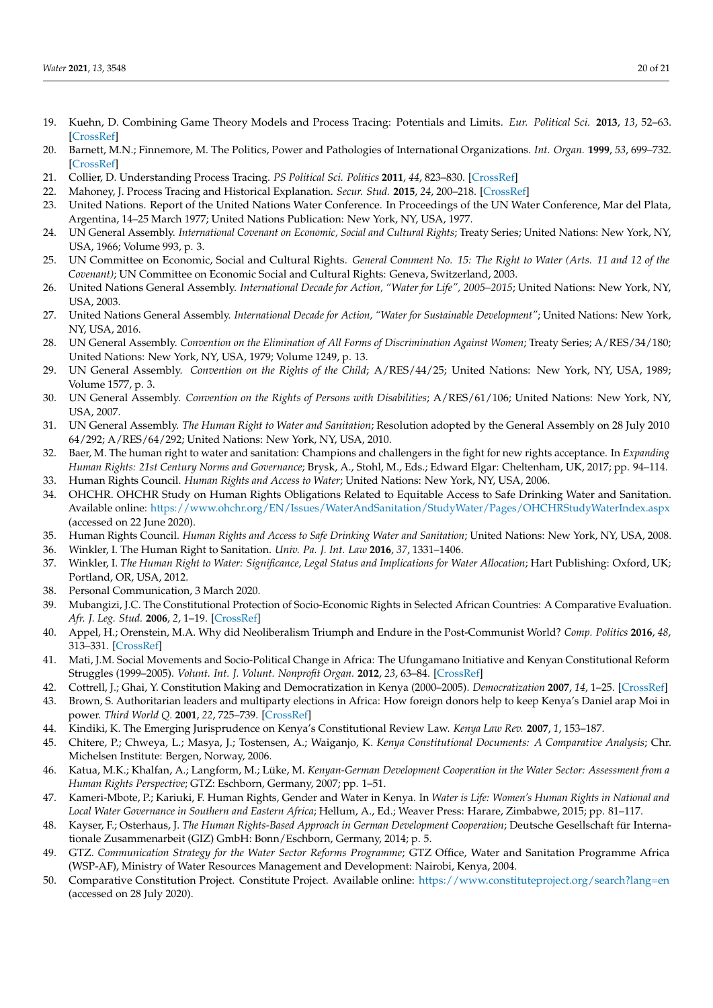- <span id="page-19-0"></span>19. Kuehn, D. Combining Game Theory Models and Process Tracing: Potentials and Limits. *Eur. Political Sci.* **2013**, *13*, 52–63. [\[CrossRef\]](http://doi.org/10.1057/eps.2012.9)
- <span id="page-19-1"></span>20. Barnett, M.N.; Finnemore, M. The Politics, Power and Pathologies of International Organizations. *Int. Organ.* **1999**, *53*, 699–732. [\[CrossRef\]](http://doi.org/10.1162/002081899551048)
- <span id="page-19-2"></span>21. Collier, D. Understanding Process Tracing. *PS Political Sci. Politics* **2011**, *44*, 823–830. [\[CrossRef\]](http://doi.org/10.1017/S1049096511001429)
- <span id="page-19-3"></span>22. Mahoney, J. Process Tracing and Historical Explanation. *Secur. Stud.* **2015**, *24*, 200–218. [\[CrossRef\]](http://doi.org/10.1080/09636412.2015.1036610)
- <span id="page-19-4"></span>23. United Nations. Report of the United Nations Water Conference. In Proceedings of the UN Water Conference, Mar del Plata, Argentina, 14–25 March 1977; United Nations Publication: New York, NY, USA, 1977.
- <span id="page-19-5"></span>24. UN General Assembly. *International Covenant on Economic, Social and Cultural Rights*; Treaty Series; United Nations: New York, NY, USA, 1966; Volume 993, p. 3.
- <span id="page-19-6"></span>25. UN Committee on Economic, Social and Cultural Rights. *General Comment No. 15: The Right to Water (Arts. 11 and 12 of the Covenant)*; UN Committee on Economic Social and Cultural Rights: Geneva, Switzerland, 2003.
- <span id="page-19-7"></span>26. United Nations General Assembly. *International Decade for Action, "Water for Life", 2005–2015*; United Nations: New York, NY, USA, 2003.
- <span id="page-19-8"></span>27. United Nations General Assembly. *International Decade for Action, "Water for Sustainable Development"*; United Nations: New York, NY, USA, 2016.
- <span id="page-19-9"></span>28. UN General Assembly. *Convention on the Elimination of All Forms of Discrimination Against Women*; Treaty Series; A/RES/34/180; United Nations: New York, NY, USA, 1979; Volume 1249, p. 13.
- <span id="page-19-10"></span>29. UN General Assembly. *Convention on the Rights of the Child*; A/RES/44/25; United Nations: New York, NY, USA, 1989; Volume 1577, p. 3.
- <span id="page-19-11"></span>30. UN General Assembly. *Convention on the Rights of Persons with Disabilities*; A/RES/61/106; United Nations: New York, NY, USA, 2007.
- <span id="page-19-12"></span>31. UN General Assembly. *The Human Right to Water and Sanitation*; Resolution adopted by the General Assembly on 28 July 2010 64/292; A/RES/64/292; United Nations: New York, NY, USA, 2010.
- <span id="page-19-13"></span>32. Baer, M. The human right to water and sanitation: Champions and challengers in the fight for new rights acceptance. In *Expanding Human Rights: 21st Century Norms and Governance*; Brysk, A., Stohl, M., Eds.; Edward Elgar: Cheltenham, UK, 2017; pp. 94–114. 33. Human Rights Council. *Human Rights and Access to Water*; United Nations: New York, NY, USA, 2006.
- <span id="page-19-15"></span><span id="page-19-14"></span>34. OHCHR. OHCHR Study on Human Rights Obligations Related to Equitable Access to Safe Drinking Water and Sanitation. Available online: <https://www.ohchr.org/EN/Issues/WaterAndSanitation/StudyWater/Pages/OHCHRStudyWaterIndex.aspx>
- <span id="page-19-16"></span>(accessed on 22 June 2020). 35. Human Rights Council. *Human Rights and Access to Safe Drinking Water and Sanitation*; United Nations: New York, NY, USA, 2008.
- <span id="page-19-17"></span>36. Winkler, I. The Human Right to Sanitation. *Univ. Pa. J. Int. Law* **2016**, *37*, 1331–1406.
- <span id="page-19-18"></span>37. Winkler, I. *The Human Right to Water: Significance, Legal Status and Implications for Water Allocation*; Hart Publishing: Oxford, UK; Portland, OR, USA, 2012.
- <span id="page-19-19"></span>38. Personal Communication, 3 March 2020.
- <span id="page-19-20"></span>39. Mubangizi, J.C. The Constitutional Protection of Socio-Economic Rights in Selected African Countries: A Comparative Evaluation. *Afr. J. Leg. Stud.* **2006**, *2*, 1–19. [\[CrossRef\]](http://doi.org/10.1163/221097312X13397499736345)
- <span id="page-19-21"></span>40. Appel, H.; Orenstein, M.A. Why did Neoliberalism Triumph and Endure in the Post-Communist World? *Comp. Politics* **2016**, *48*, 313–331. [\[CrossRef\]](http://doi.org/10.5129/001041516818254419)
- <span id="page-19-22"></span>41. Mati, J.M. Social Movements and Socio-Political Change in Africa: The Ufungamano Initiative and Kenyan Constitutional Reform Struggles (1999–2005). *Volunt. Int. J. Volunt. Nonprofit Organ.* **2012**, *23*, 63–84. [\[CrossRef\]](http://doi.org/10.1007/s11266-011-9241-1)
- <span id="page-19-23"></span>42. Cottrell, J.; Ghai, Y. Constitution Making and Democratization in Kenya (2000–2005). *Democratization* **2007**, *14*, 1–25. [\[CrossRef\]](http://doi.org/10.1080/13510340601024272)
- <span id="page-19-24"></span>43. Brown, S. Authoritarian leaders and multiparty elections in Africa: How foreign donors help to keep Kenya's Daniel arap Moi in power. *Third World Q.* **2001**, *22*, 725–739. [\[CrossRef\]](http://doi.org/10.1080/01436590120084575)
- 44. Kindiki, K. The Emerging Jurisprudence on Kenya's Constitutional Review Law. *Kenya Law Rev.* **2007**, *1*, 153–187.
- <span id="page-19-25"></span>45. Chitere, P.; Chweya, L.; Masya, J.; Tostensen, A.; Waiganjo, K. *Kenya Constitutional Documents: A Comparative Analysis*; Chr. Michelsen Institute: Bergen, Norway, 2006.
- <span id="page-19-26"></span>46. Katua, M.K.; Khalfan, A.; Langform, M.; Lüke, M. *Kenyan-German Development Cooperation in the Water Sector: Assessment from a Human Rights Perspective*; GTZ: Eschborn, Germany, 2007; pp. 1–51.
- <span id="page-19-27"></span>47. Kameri-Mbote, P.; Kariuki, F. Human Rights, Gender and Water in Kenya. In *Water is Life: Women's Human Rights in National and Local Water Governance in Southern and Eastern Africa*; Hellum, A., Ed.; Weaver Press: Harare, Zimbabwe, 2015; pp. 81–117.
- <span id="page-19-28"></span>48. Kayser, F.; Osterhaus, J. *The Human Rights-Based Approach in German Development Cooperation*; Deutsche Gesellschaft für Internationale Zusammenarbeit (GIZ) GmbH: Bonn/Eschborn, Germany, 2014; p. 5.
- <span id="page-19-29"></span>49. GTZ. *Communication Strategy for the Water Sector Reforms Programme*; GTZ Office, Water and Sanitation Programme Africa (WSP-AF), Ministry of Water Resources Management and Development: Nairobi, Kenya, 2004.
- <span id="page-19-30"></span>50. Comparative Constitution Project. Constitute Project. Available online: <https://www.constituteproject.org/search?lang=en> (accessed on 28 July 2020).